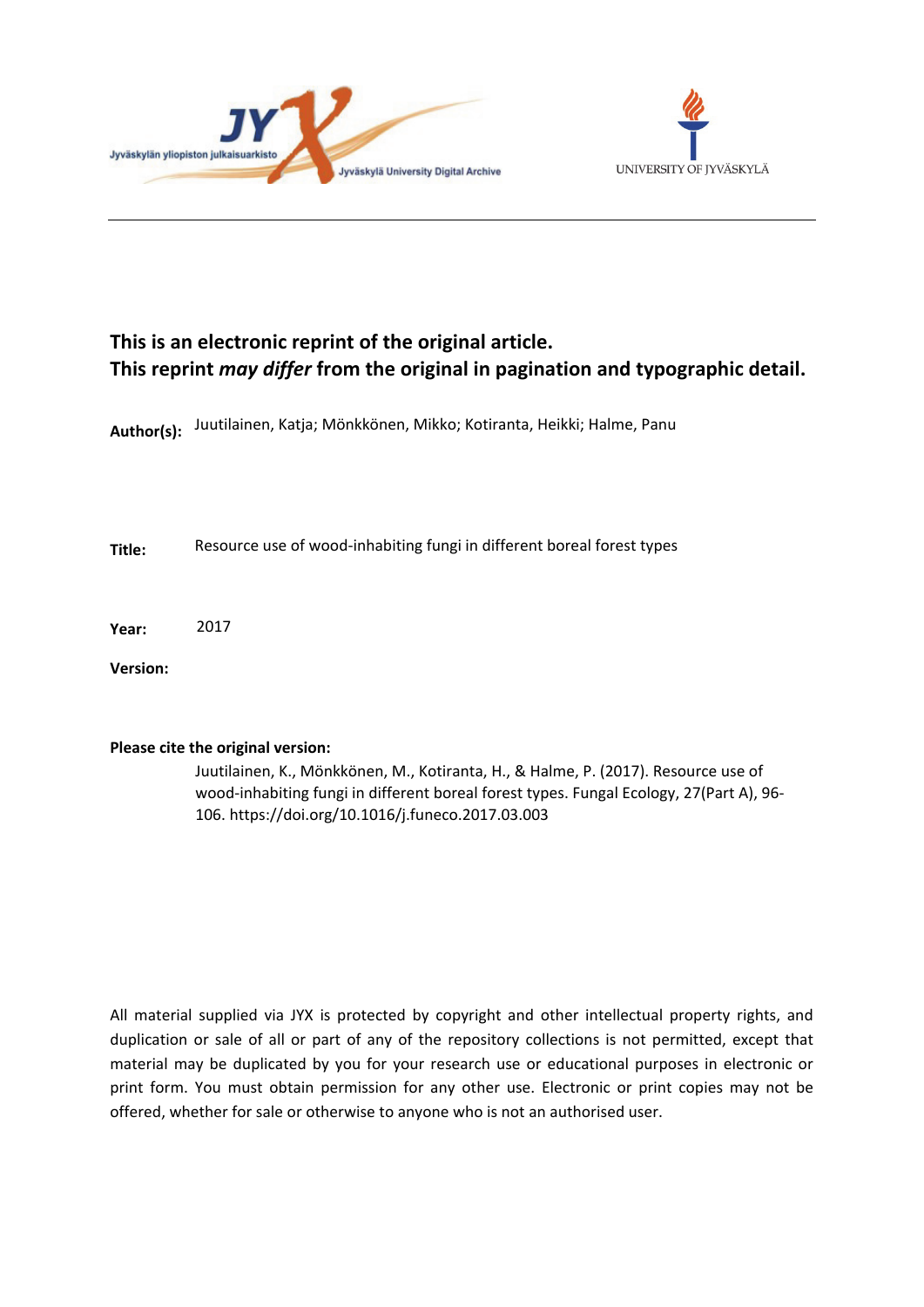



# **This is an electronic reprint of the original article. This reprint** *may differ* **from the original in pagination and typographic detail.**

**Author(s):**  Juutilainen, Katja; Mönkkönen, Mikko; Kotiranta, Heikki; Halme, Panu

**Title:** Resource use of wood-inhabiting fungi in different boreal forest types

**Year:**  2017

**Version:**

#### **Please cite the original version:**

Juutilainen, K., Mönkkönen, M., Kotiranta, H., & Halme, P. (2017). Resource use of wood-inhabiting fungi in different boreal forest types. Fungal Ecology, 27(Part A), 96- 106. https://doi.org/10.1016/j.funeco.2017.03.003

All material supplied via JYX is protected by copyright and other intellectual property rights, and duplication or sale of all or part of any of the repository collections is not permitted, except that material may be duplicated by you for your research use or educational purposes in electronic or print form. You must obtain permission for any other use. Electronic or print copies may not be offered, whether for sale or otherwise to anyone who is not an authorised user.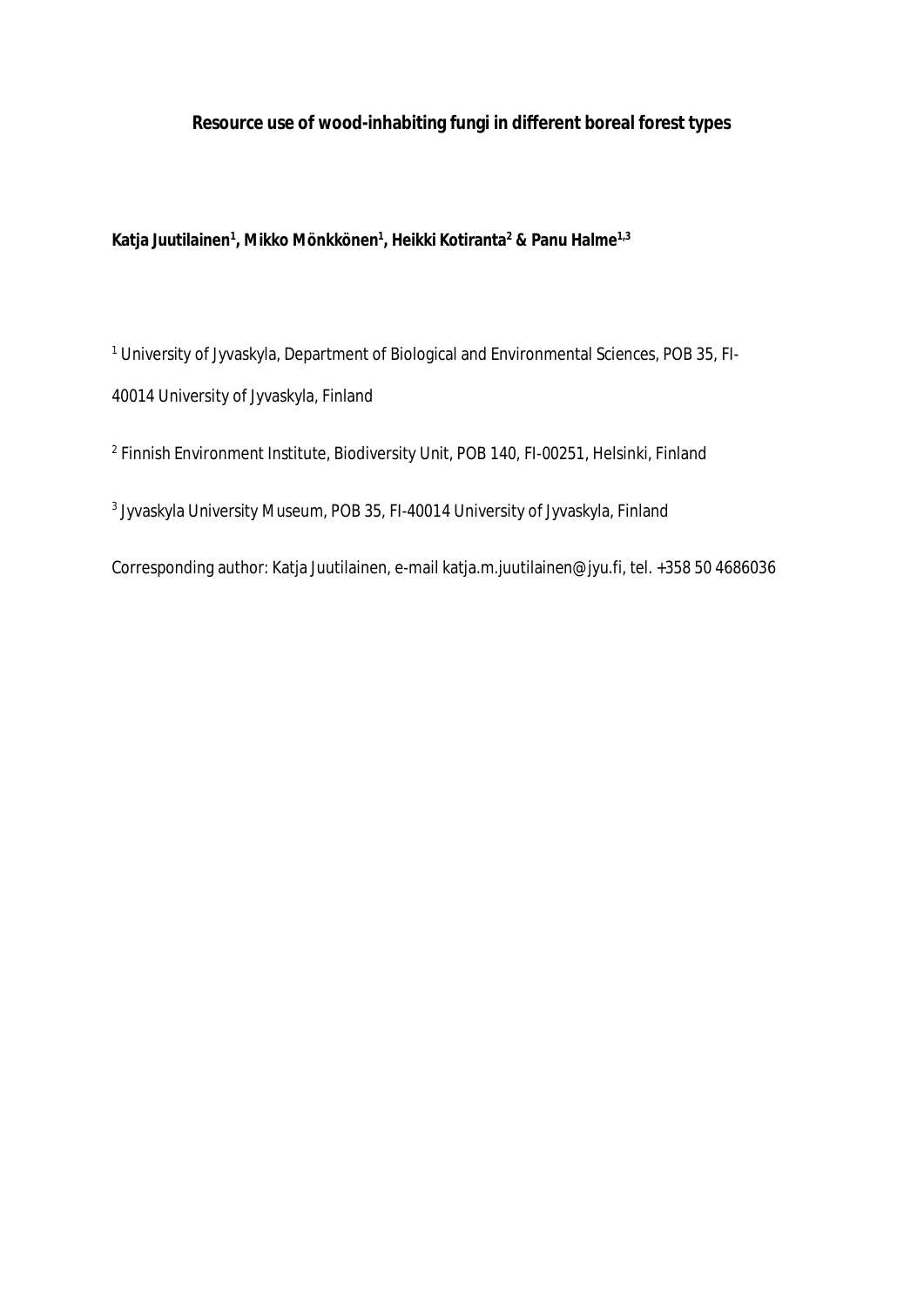## **Resource use of wood-inhabiting fungi in different boreal forest types**

**Katja Juutilainen<sup>1</sup> , Mikko Mönkkönen<sup>1</sup> , Heikki Kotiranta<sup>2</sup> & Panu Halme1,3**

<sup>1</sup> University of Jyvaskyla, Department of Biological and Environmental Sciences, POB 35, FI-40014 University of Jyvaskyla, Finland

<sup>2</sup> Finnish Environment Institute, Biodiversity Unit, POB 140, FI-00251, Helsinki, Finland

<sup>3</sup> Jyvaskyla University Museum, POB 35, FI-40014 University of Jyvaskyla, Finland

Corresponding author: Katja Juutilainen, e-mail katja.m.juutilainen@jyu.fi, tel. +358 50 4686036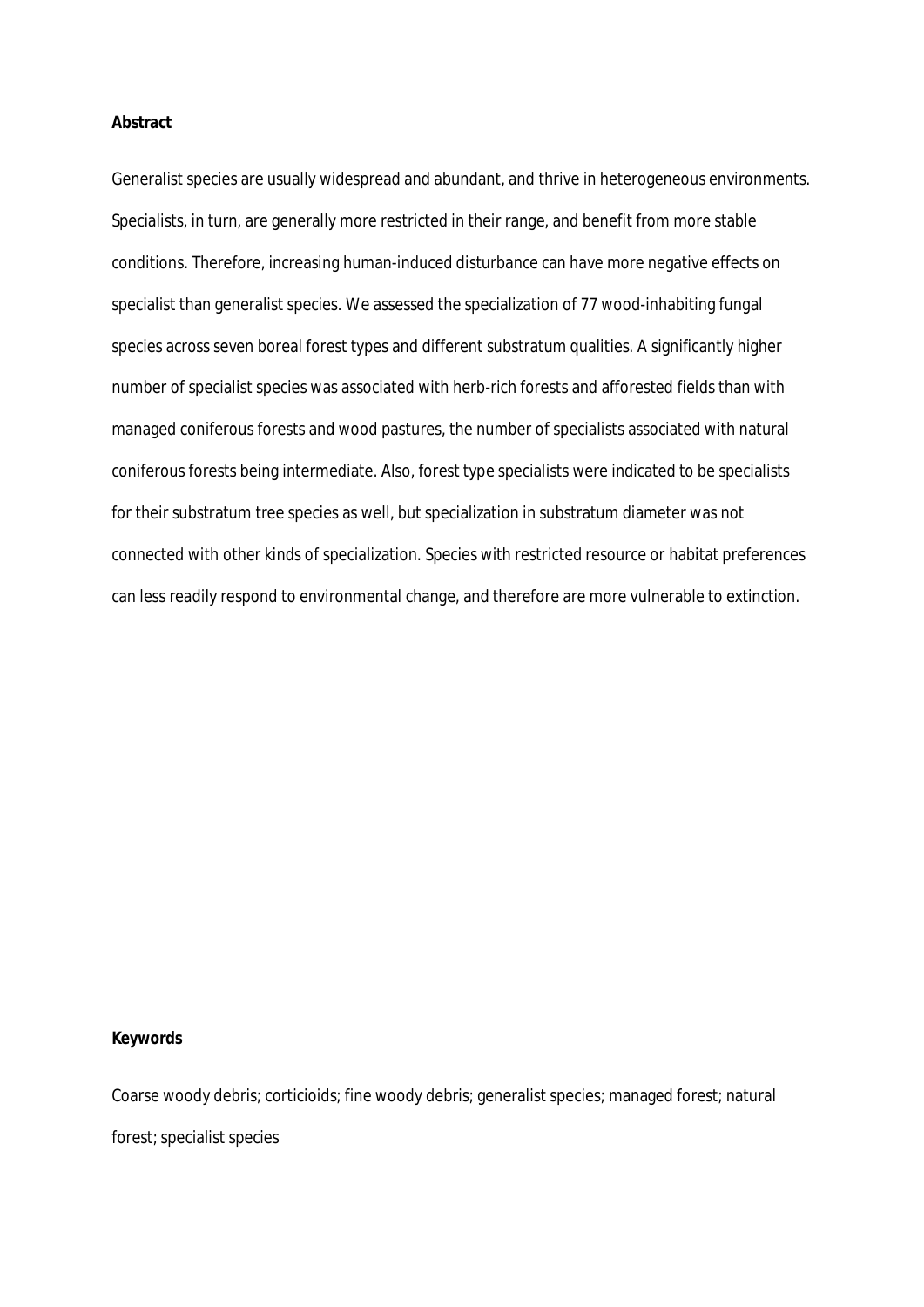#### **Abstract**

Generalist species are usually widespread and abundant, and thrive in heterogeneous environments. Specialists, in turn, are generally more restricted in their range, and benefit from more stable conditions. Therefore, increasing human-induced disturbance can have more negative effects on specialist than generalist species. We assessed the specialization of 77 wood-inhabiting fungal species across seven boreal forest types and different substratum qualities. A significantly higher number of specialist species was associated with herb-rich forests and afforested fields than with managed coniferous forests and wood pastures, the number of specialists associated with natural coniferous forests being intermediate. Also, forest type specialists were indicated to be specialists for their substratum tree species as well, but specialization in substratum diameter was not connected with other kinds of specialization. Species with restricted resource or habitat preferences can less readily respond to environmental change, and therefore are more vulnerable to extinction.

#### **Keywords**

Coarse woody debris; corticioids; fine woody debris; generalist species; managed forest; natural forest; specialist species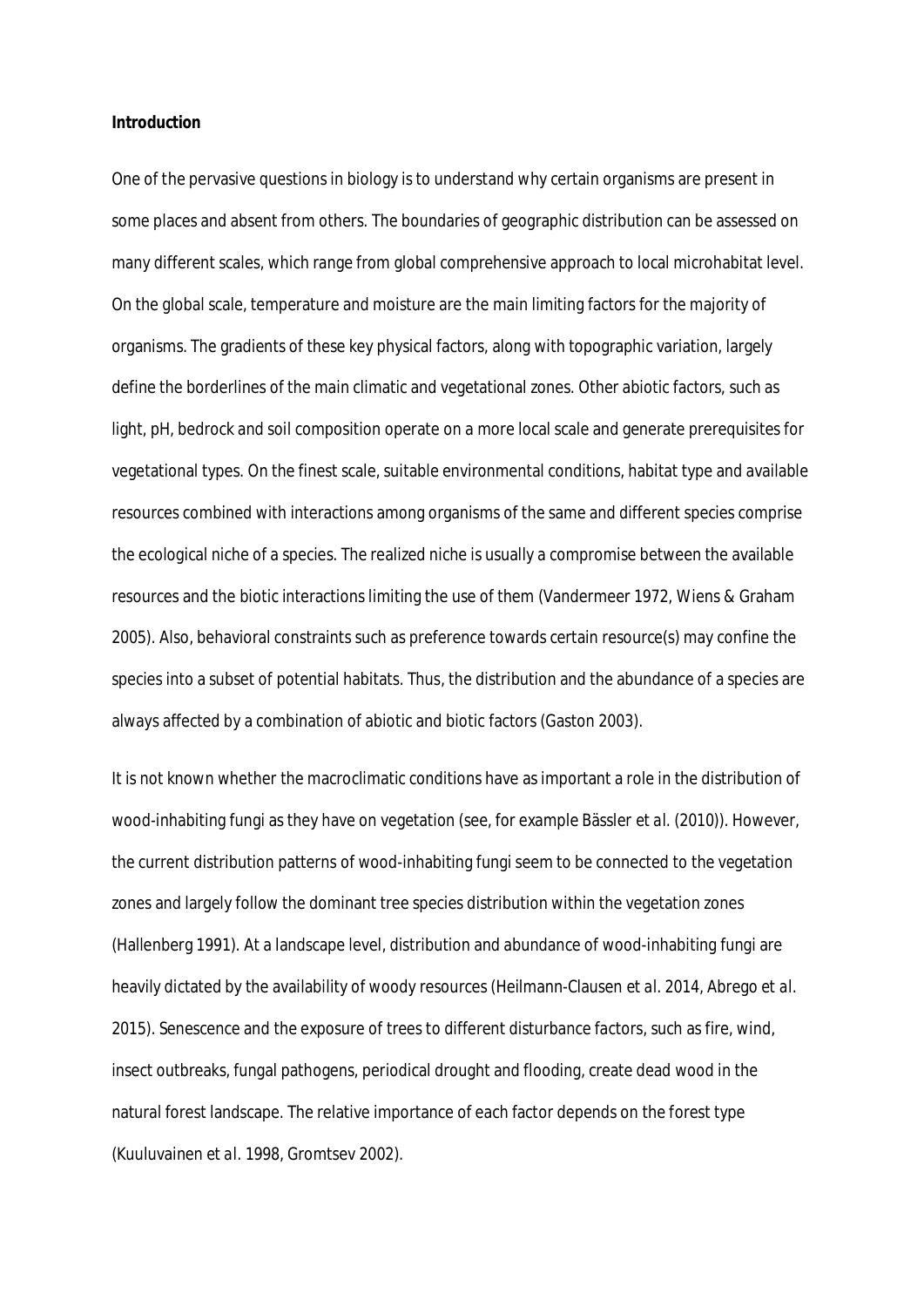#### **Introduction**

One of the pervasive questions in biology is to understand why certain organisms are present in some places and absent from others. The boundaries of geographic distribution can be assessed on many different scales, which range from global comprehensive approach to local microhabitat level. On the global scale, temperature and moisture are the main limiting factors for the majority of organisms. The gradients of these key physical factors, along with topographic variation, largely define the borderlines of the main climatic and vegetational zones. Other abiotic factors, such as light, pH, bedrock and soil composition operate on a more local scale and generate prerequisites for vegetational types. On the finest scale, suitable environmental conditions, habitat type and available resources combined with interactions among organisms of the same and different species comprise the ecological niche of a species. The realized niche is usually a compromise between the available resources and the biotic interactions limiting the use of them (Vandermeer 1972, Wiens & Graham 2005). Also, behavioral constraints such as preference towards certain resource(s) may confine the species into a subset of potential habitats. Thus, the distribution and the abundance of a species are always affected by a combination of abiotic and biotic factors (Gaston 2003).

It is not known whether the macroclimatic conditions have as important a role in the distribution of wood-inhabiting fungi as they have on vegetation (see, for example Bässler *et al.* (2010)). However, the current distribution patterns of wood-inhabiting fungi seem to be connected to the vegetation zones and largely follow the dominant tree species distribution within the vegetation zones (Hallenberg 1991). At a landscape level, distribution and abundance of wood-inhabiting fungi are heavily dictated by the availability of woody resources (Heilmann-Clausen *et al.* 2014, Abrego *et al.* 2015). Senescence and the exposure of trees to different disturbance factors, such as fire, wind, insect outbreaks, fungal pathogens, periodical drought and flooding, create dead wood in the natural forest landscape. The relative importance of each factor depends on the forest type (Kuuluvainen *et al.* 1998, Gromtsev 2002).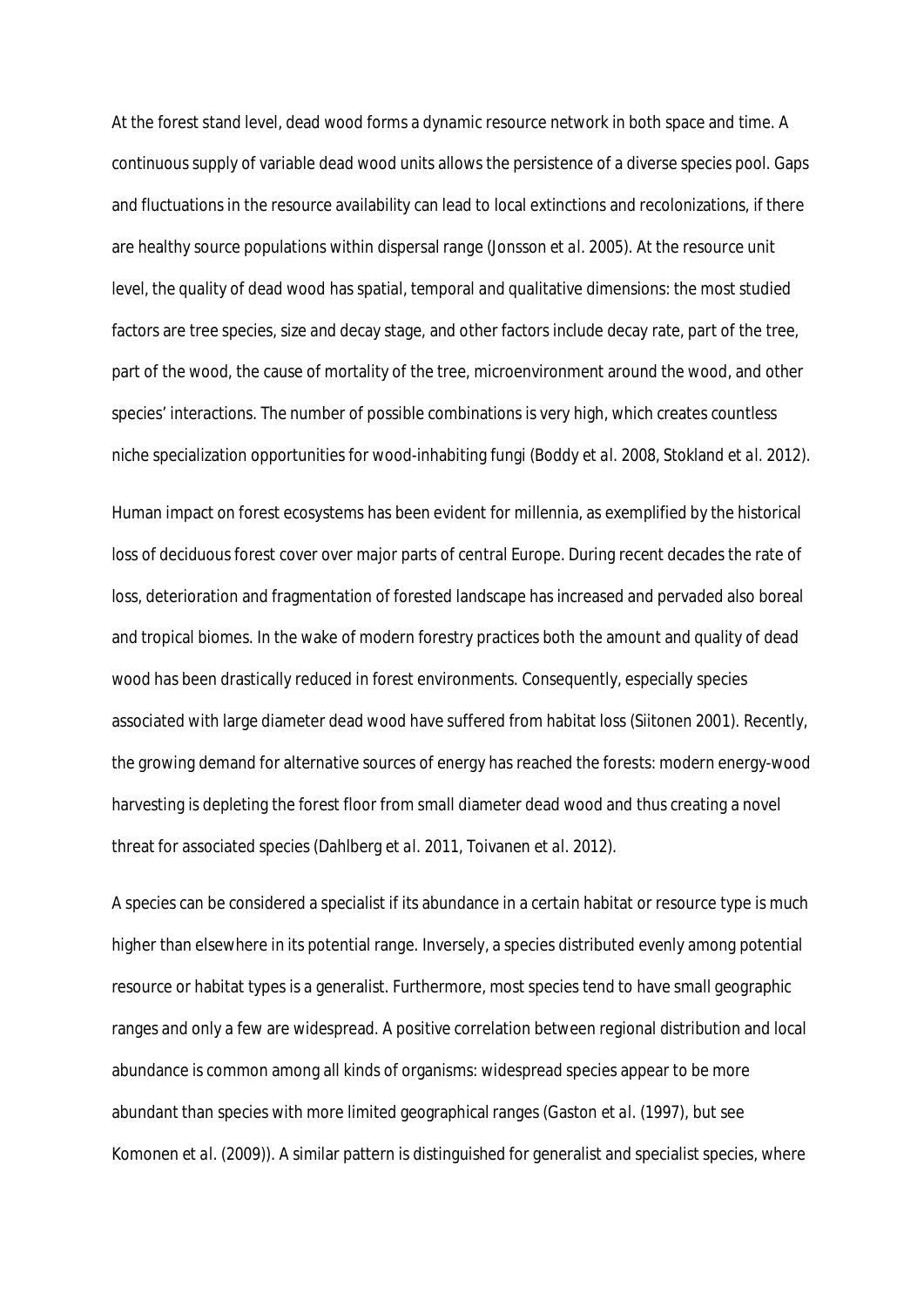At the forest stand level, dead wood forms a dynamic resource network in both space and time. A continuous supply of variable dead wood units allows the persistence of a diverse species pool. Gaps and fluctuations in the resource availability can lead to local extinctions and recolonizations, if there are healthy source populations within dispersal range (Jonsson *et al.* 2005). At the resource unit level, the quality of dead wood has spatial, temporal and qualitative dimensions: the most studied factors are tree species, size and decay stage, and other factors include decay rate, part of the tree, part of the wood, the cause of mortality of the tree, microenvironment around the wood, and other species' interactions. The number of possible combinations is very high, which creates countless niche specialization opportunities for wood-inhabiting fungi (Boddy *et al.* 2008, Stokland *et al.* 2012).

Human impact on forest ecosystems has been evident for millennia, as exemplified by the historical loss of deciduous forest cover over major parts of central Europe. During recent decades the rate of loss, deterioration and fragmentation of forested landscape has increased and pervaded also boreal and tropical biomes. In the wake of modern forestry practices both the amount and quality of dead wood has been drastically reduced in forest environments. Consequently, especially species associated with large diameter dead wood have suffered from habitat loss (Siitonen 2001). Recently, the growing demand for alternative sources of energy has reached the forests: modern energy-wood harvesting is depleting the forest floor from small diameter dead wood and thus creating a novel threat for associated species (Dahlberg *et al.* 2011, Toivanen *et al.* 2012).

A species can be considered a specialist if its abundance in a certain habitat or resource type is much higher than elsewhere in its potential range. Inversely, a species distributed evenly among potential resource or habitat types is a generalist. Furthermore, most species tend to have small geographic ranges and only a few are widespread. A positive correlation between regional distribution and local abundance is common among all kinds of organisms: widespread species appear to be more abundant than species with more limited geographical ranges (Gaston *et al.* (1997), but see Komonen *et al.* (2009)). A similar pattern is distinguished for generalist and specialist species, where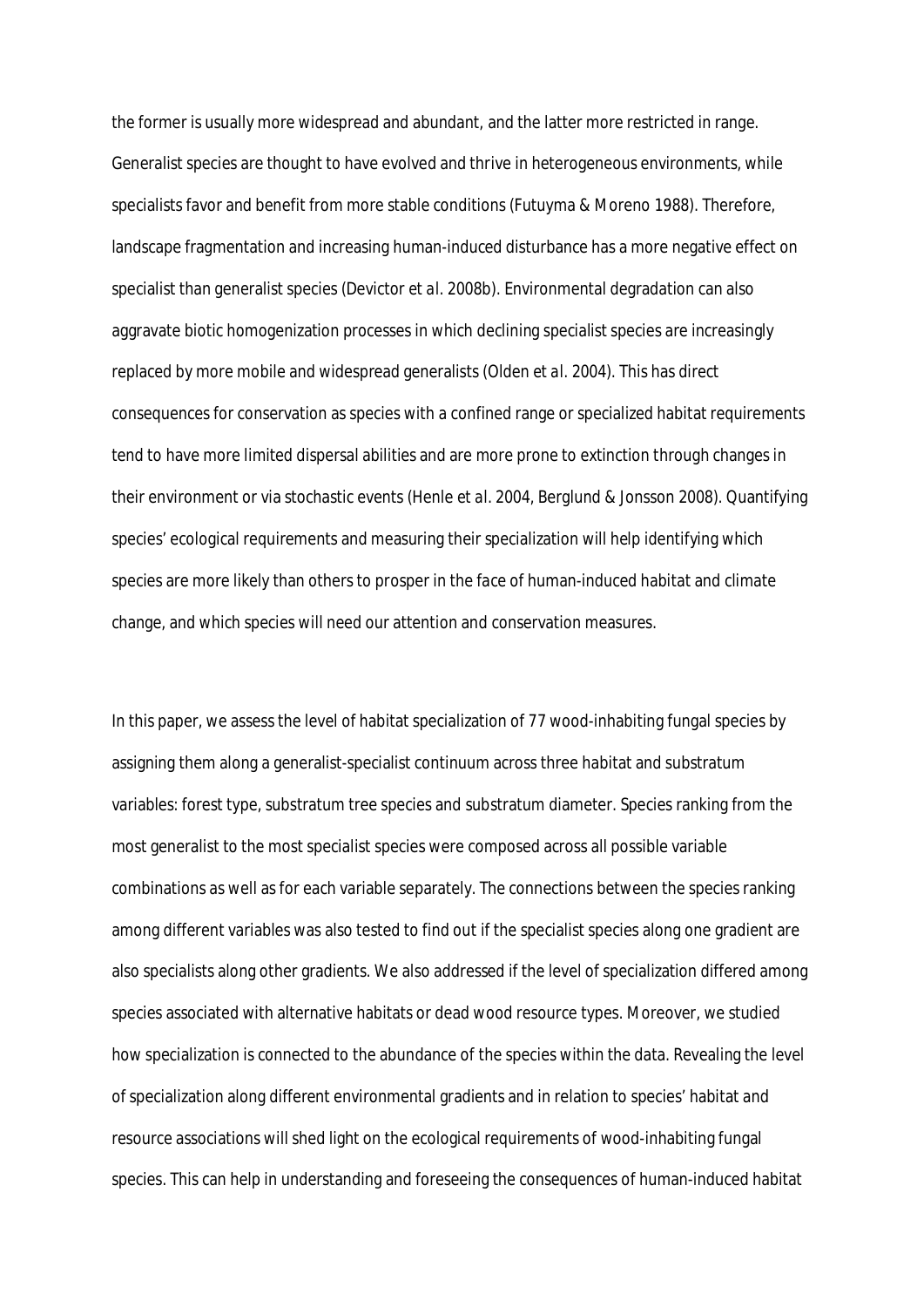the former is usually more widespread and abundant, and the latter more restricted in range. Generalist species are thought to have evolved and thrive in heterogeneous environments, while specialists favor and benefit from more stable conditions (Futuyma & Moreno 1988). Therefore, landscape fragmentation and increasing human-induced disturbance has a more negative effect on specialist than generalist species (Devictor *et al.* 2008b). Environmental degradation can also aggravate biotic homogenization processes in which declining specialist species are increasingly replaced by more mobile and widespread generalists (Olden *et al.* 2004). This has direct consequences for conservation as species with a confined range or specialized habitat requirements tend to have more limited dispersal abilities and are more prone to extinction through changes in their environment or via stochastic events (Henle *et al.* 2004, Berglund & Jonsson 2008). Quantifying species' ecological requirements and measuring their specialization will help identifying which species are more likely than others to prosper in the face of human-induced habitat and climate change, and which species will need our attention and conservation measures.

In this paper, we assess the level of habitat specialization of 77 wood-inhabiting fungal species by assigning them along a generalist-specialist continuum across three habitat and substratum variables: forest type, substratum tree species and substratum diameter. Species ranking from the most generalist to the most specialist species were composed across all possible variable combinations as well as for each variable separately. The connections between the species ranking among different variables was also tested to find out if the specialist species along one gradient are also specialists along other gradients. We also addressed if the level of specialization differed among species associated with alternative habitats or dead wood resource types. Moreover, we studied how specialization is connected to the abundance of the species within the data. Revealing the level of specialization along different environmental gradients and in relation to species' habitat and resource associations will shed light on the ecological requirements of wood-inhabiting fungal species. This can help in understanding and foreseeing the consequences of human-induced habitat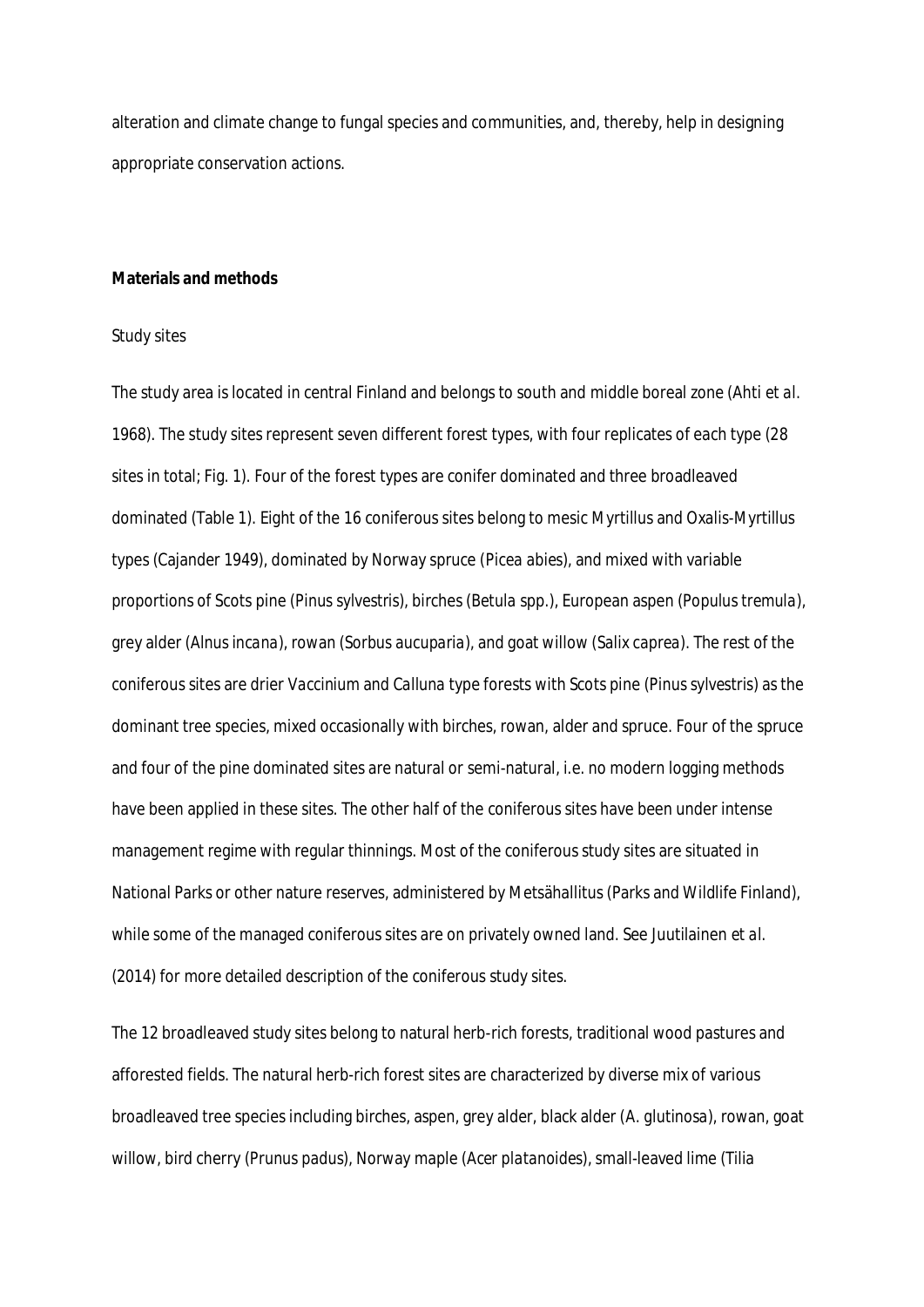alteration and climate change to fungal species and communities, and, thereby, help in designing appropriate conservation actions.

#### **Materials and methods**

#### Study sites

The study area is located in central Finland and belongs to south and middle boreal zone (Ahti *et al.* 1968). The study sites represent seven different forest types, with four replicates of each type (28 sites in total; Fig. 1). Four of the forest types are conifer dominated and three broadleaved dominated (Table 1). Eight of the 16 coniferous sites belong to mesic *Myrtillus* and *Oxalis-Myrtillus* types (Cajander 1949), dominated by Norway spruce (*Picea abies*), and mixed with variable proportions of Scots pine (*Pinus sylvestris*), birches (*Betula* spp.), European aspen (*Populus tremula*), grey alder (*Alnus incana*), rowan (*Sorbus aucuparia*), and goat willow (*Salix caprea*). The rest of the coniferous sites are drier *Vaccinium* and *Calluna* type forests with Scots pine (*Pinus sylvestris*) as the dominant tree species, mixed occasionally with birches, rowan, alder and spruce. Four of the spruce and four of the pine dominated sites are natural or semi-natural, i.e. no modern logging methods have been applied in these sites. The other half of the coniferous sites have been under intense management regime with regular thinnings. Most of the coniferous study sites are situated in National Parks or other nature reserves, administered by Metsähallitus (Parks and Wildlife Finland), while some of the managed coniferous sites are on privately owned land. See Juutilainen *et al.* (2014) for more detailed description of the coniferous study sites.

The 12 broadleaved study sites belong to natural herb-rich forests, traditional wood pastures and afforested fields. The natural herb-rich forest sites are characterized by diverse mix of various broadleaved tree species including birches, aspen, grey alder, black alder (*A. glutinosa*), rowan, goat willow, bird cherry (*Prunus padus*), Norway maple (*Acer platanoides*), small-leaved lime (*Tilia*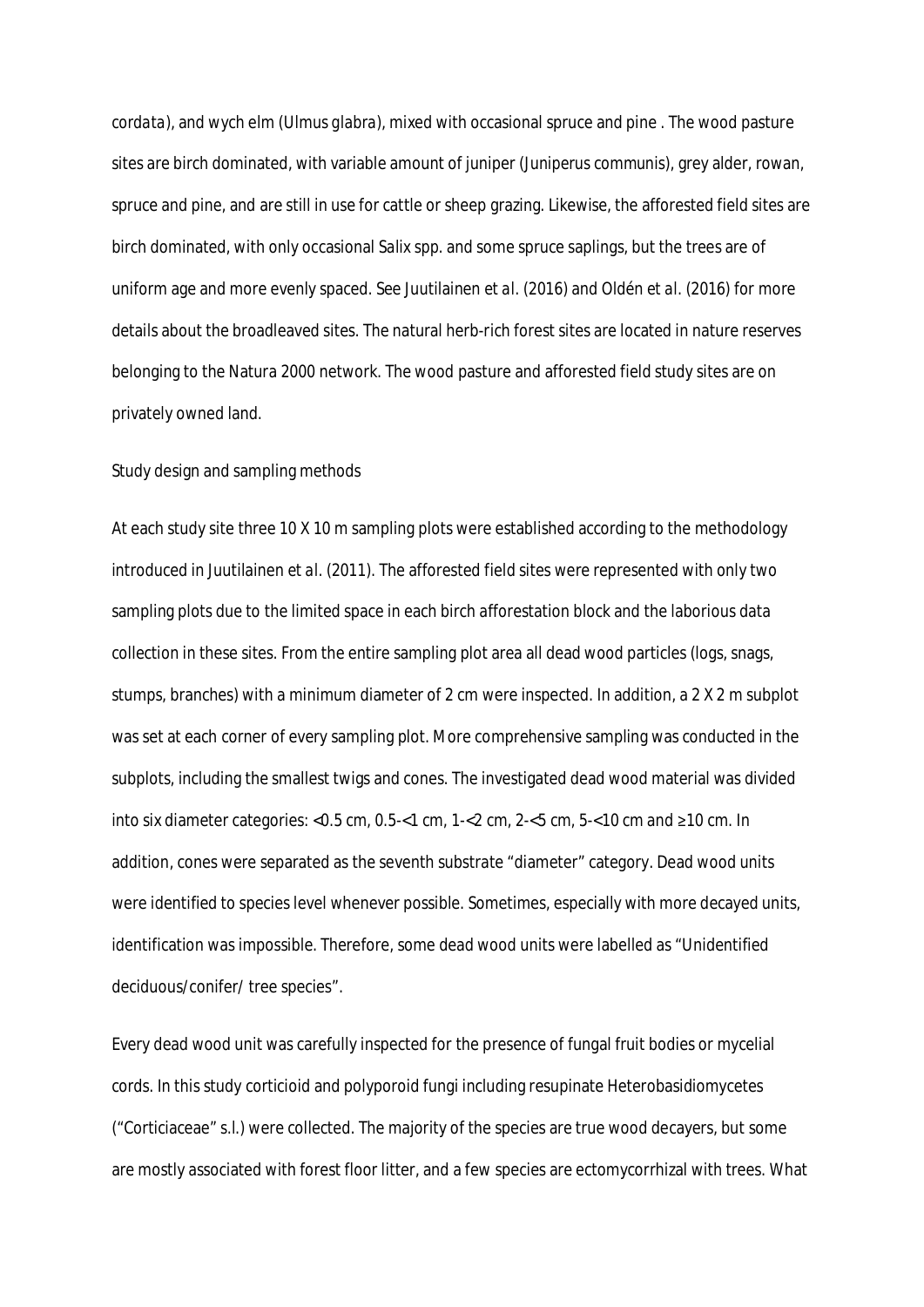*cordata*), and wych elm (*Ulmus glabra*), mixed with occasional spruce and pine . The wood pasture sites are birch dominated, with variable amount of juniper (*Juniperus communis*), grey alder, rowan, spruce and pine, and are still in use for cattle or sheep grazing. Likewise, the afforested field sites are birch dominated, with only occasional *Salix spp*. and some spruce saplings, but the trees are of uniform age and more evenly spaced. See Juutilainen *et al.* (2016) and Oldén *et al.* (2016) for more details about the broadleaved sites. The natural herb-rich forest sites are located in nature reserves belonging to the Natura 2000 network. The wood pasture and afforested field study sites are on privately owned land.

#### Study design and sampling methods

At each study site three 10 X 10 m sampling plots were established according to the methodology introduced in Juutilainen *et al.* (2011). The afforested field sites were represented with only two sampling plots due to the limited space in each birch afforestation block and the laborious data collection in these sites. From the entire sampling plot area all dead wood particles (logs, snags, stumps, branches) with a minimum diameter of 2 cm were inspected. In addition, a 2 X 2 m subplot was set at each corner of every sampling plot. More comprehensive sampling was conducted in the subplots, including the smallest twigs and cones. The investigated dead wood material was divided into six diameter categories: <0.5 cm, 0.5 -< 1 cm, 1 - < 2 cm, 2 - < 5 cm, 5 - < 10 cm and  $\geq$  10 cm. In addition, cones were separated as the seventh substrate "diameter" category. Dead wood units were identified to species level whenever possible. Sometimes, especially with more decayed units, identification was impossible. Therefore, some dead wood units were labelled as "Unidentified deciduous/conifer/ tree species".

Every dead wood unit was carefully inspected for the presence of fungal fruit bodies or mycelial cords. In this study corticioid and polyporoid fungi including resupinate Heterobasidiomycetes ("Corticiaceae" *s.l*.) were collected. The majority of the species are true wood decayers, but some are mostly associated with forest floor litter, and a few species are ectomycorrhizal with trees. What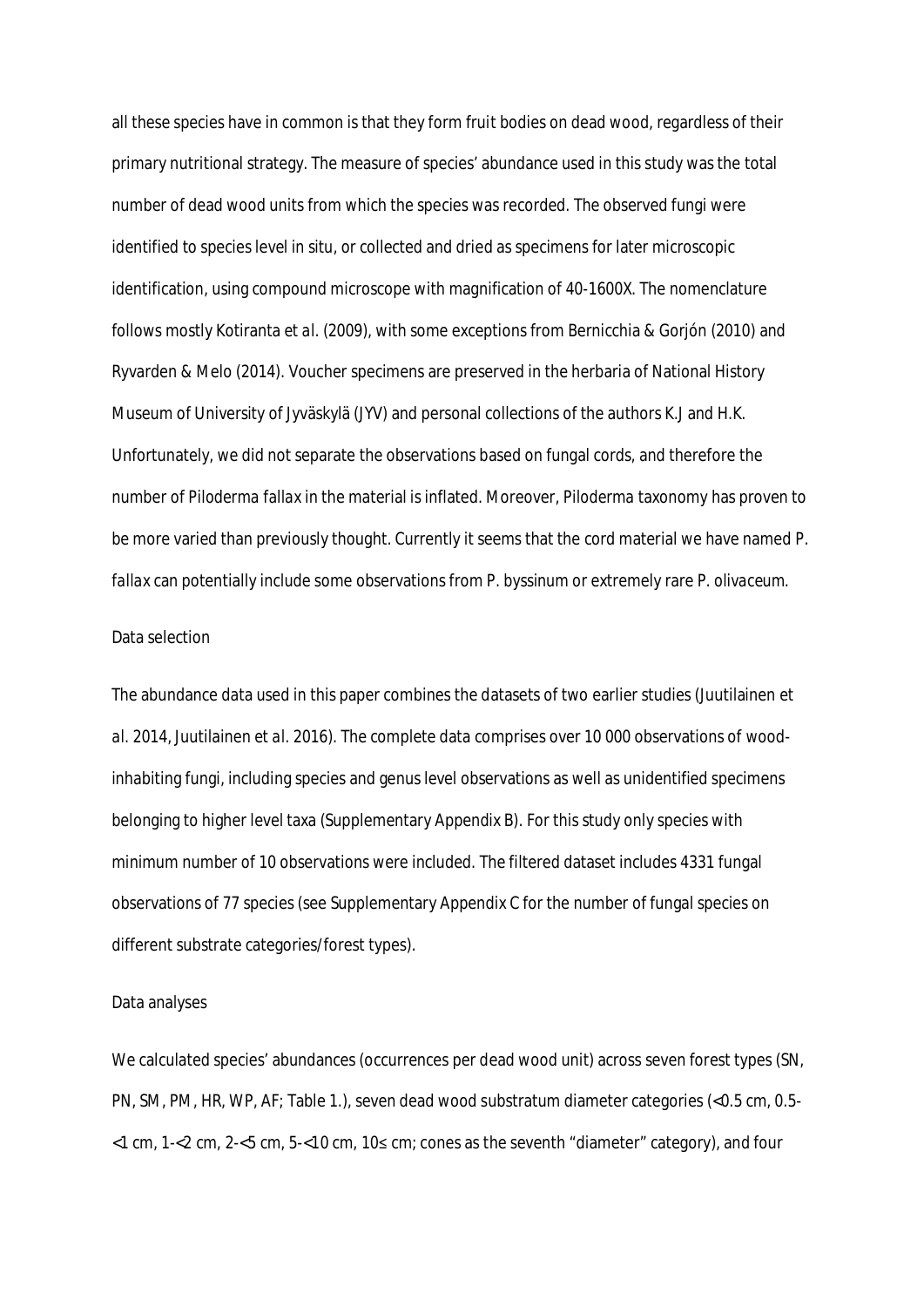all these species have in common is that they form fruit bodies on dead wood, regardless of their primary nutritional strategy. The measure of species' abundance used in this study was the total number of dead wood units from which the species was recorded. The observed fungi were identified to species level *in situ*, or collected and dried as specimens for later microscopic identification, using compound microscope with magnification of 40-1600X. The nomenclature follows mostly Kotiranta *et al.* (2009), with some exceptions from Bernicchia & Gorjón (2010) and Ryvarden & Melo (2014). Voucher specimens are preserved in the herbaria of National History Museum of University of Jyväskylä (JYV) and personal collections of the authors K.J and H.K. Unfortunately, we did not separate the observations based on fungal cords, and therefore the number of *Piloderma fallax* in the material is inflated. Moreover, *Piloderma* taxonomy has proven to be more varied than previously thought. Currently it seems that the cord material we have named *P. fallax* can potentially include some observations from *P. byssinum* or extremely rare *P. olivaceum*.

## Data selection

The abundance data used in this paper combines the datasets of two earlier studies (Juutilainen *et al.* 2014, Juutilainen *et al.* 2016). The complete data comprises over 10 000 observations of woodinhabiting fungi, including species and genus level observations as well as unidentified specimens belonging to higher level taxa (Supplementary Appendix B). For this study only species with minimum number of 10 observations were included. The filtered dataset includes 4331 fungal observations of 77 species (see Supplementary Appendix C for the number of fungal species on different substrate categories/forest types).

#### Data analyses

We calculated species' abundances (occurrences per dead wood unit) across seven forest types (SN, PN, SM, PM, HR, WP, AF; Table 1.), seven dead wood substratum diameter categories (<0.5 cm, 0.5- <1 cm, 1-<2 cm, 2-<5 cm, 5-<10 cm, 10≤ cm; cones as the seventh "diameter" category), and four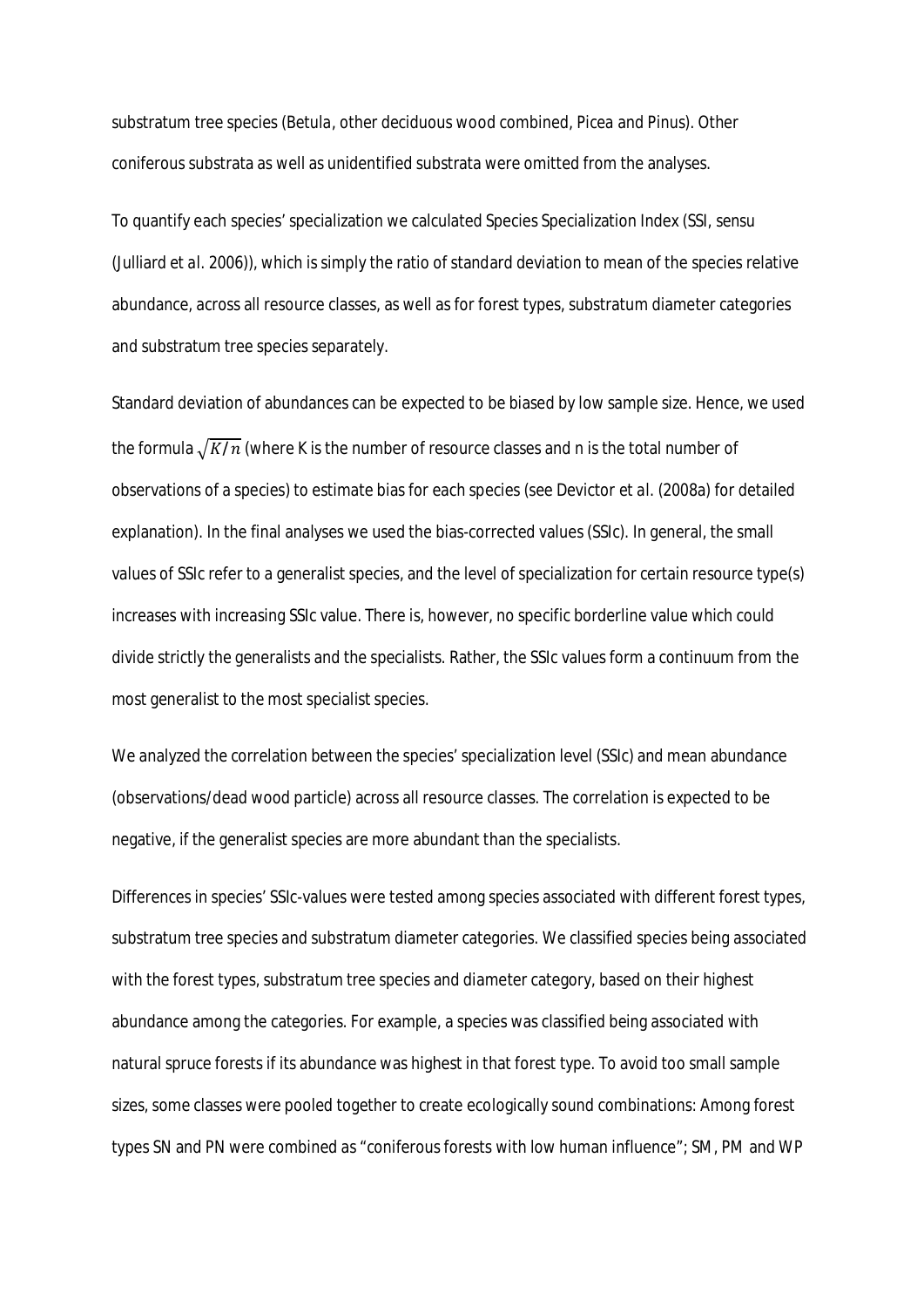substratum tree species (*Betula*, other deciduous wood combined, *Picea* and *Pinus*). Other coniferous substrata as well as unidentified substrata were omitted from the analyses.

To quantify each species' specialization we calculated Species Specialization Index (SSI, *sensu* (Julliard *et al.* 2006)), which is simply the ratio of standard deviation to mean of the species relative abundance, across all resource classes, as well as for forest types, substratum diameter categories and substratum tree species separately.

Standard deviation of abundances can be expected to be biased by low sample size. Hence, we used the formula  $\sqrt{K/n}$  (where K is the number of resource classes and n is the total number of observations of a species) to estimate bias for each species (see Devictor *et al.* (2008a) for detailed explanation). In the final analyses we used the bias-corrected values (SSIc). In general, the small values of SSIc refer to a generalist species, and the level of specialization for certain resource type(s) increases with increasing SSIc value. There is, however, no specific borderline value which could divide strictly the generalists and the specialists. Rather, the SSIc values form a continuum from the most generalist to the most specialist species.

We analyzed the correlation between the species' specialization level (SSIc) and mean abundance (observations/dead wood particle) across all resource classes. The correlation is expected to be negative, if the generalist species are more abundant than the specialists.

Differences in species' SSIc-values were tested among species associated with different forest types, substratum tree species and substratum diameter categories. We classified species being associated with the forest types, substratum tree species and diameter category, based on their highest abundance among the categories. For example, a species was classified being associated with natural spruce forests if its abundance was highest in that forest type. To avoid too small sample sizes, some classes were pooled together to create ecologically sound combinations: Among forest types SN and PN were combined as "coniferous forests with low human influence"; SM, PM and WP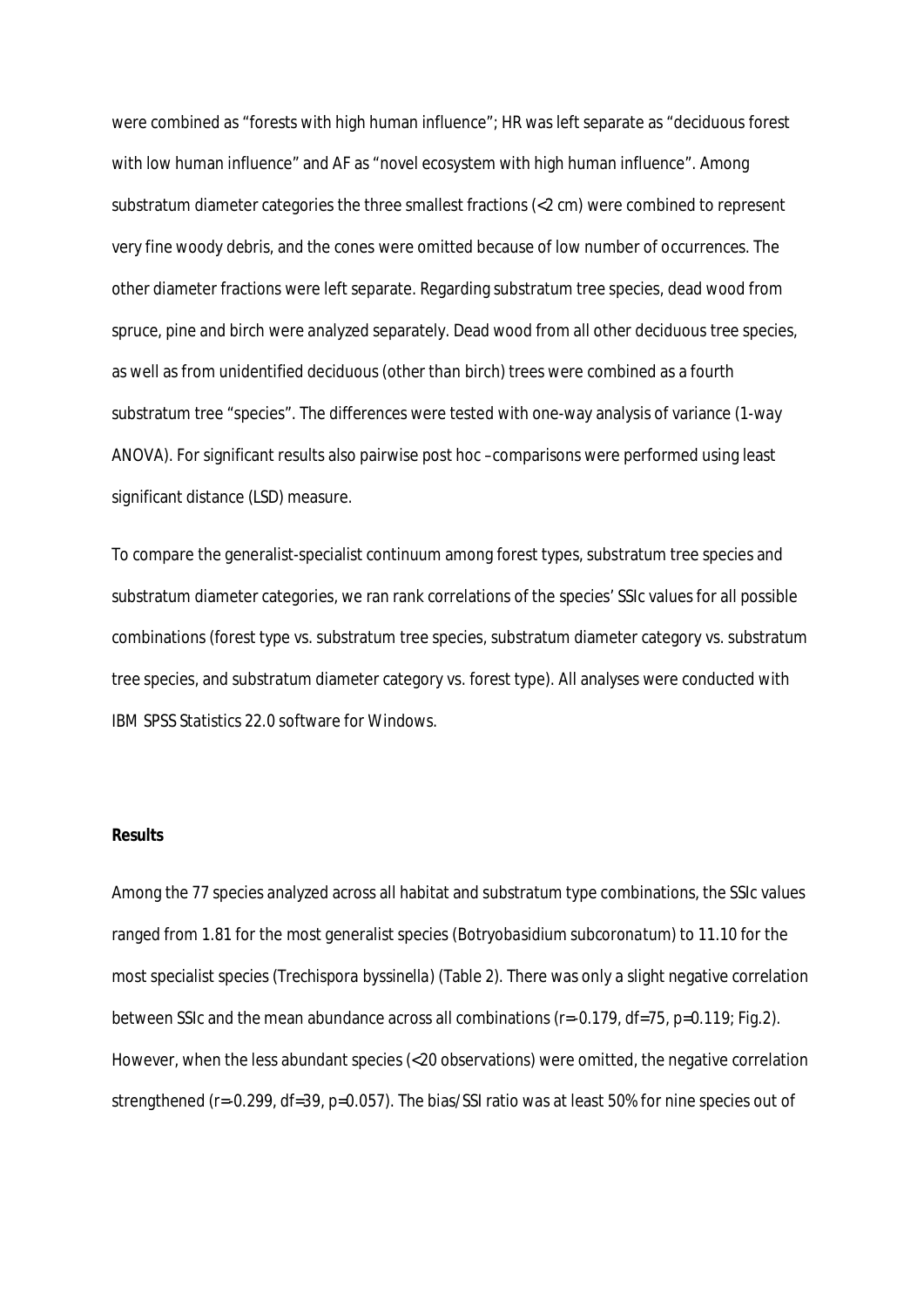were combined as "forests with high human influence"; HR was left separate as "deciduous forest with low human influence" and AF as "novel ecosystem with high human influence". Among substratum diameter categories the three smallest fractions (<2 cm) were combined to represent very fine woody debris, and the cones were omitted because of low number of occurrences. The other diameter fractions were left separate. Regarding substratum tree species, dead wood from spruce, pine and birch were analyzed separately. Dead wood from all other deciduous tree species, as well as from unidentified deciduous (other than birch) trees were combined as a fourth substratum tree "species". The differences were tested with one-way analysis of variance (1-way ANOVA). For significant results also pairwise *post hoc* –comparisons were performed using least significant distance (LSD) measure.

To compare the generalist-specialist continuum among forest types, substratum tree species and substratum diameter categories, we ran rank correlations of the species' SSIc values for all possible combinations (forest type vs. substratum tree species, substratum diameter category vs. substratum tree species, and substratum diameter category vs. forest type). All analyses were conducted with IBM SPSS Statistics 22.0 software for Windows.

#### **Results**

Among the 77 species analyzed across all habitat and substratum type combinations, the SSIc values ranged from 1.81 for the most generalist species (*Botryobasidium subcoronatum*) to 11.10 for the most specialist species (*Trechispora byssinella*) (Table 2). There was only a slight negative correlation between SSIc and the mean abundance across all combinations (r=-0.179, df=75, p=0.119; Fig.2). However, when the less abundant species (<20 observations) were omitted, the negative correlation strengthened (r=-0.299, df=39, p=0.057). The bias/SSI ratio was at least 50% for nine species out of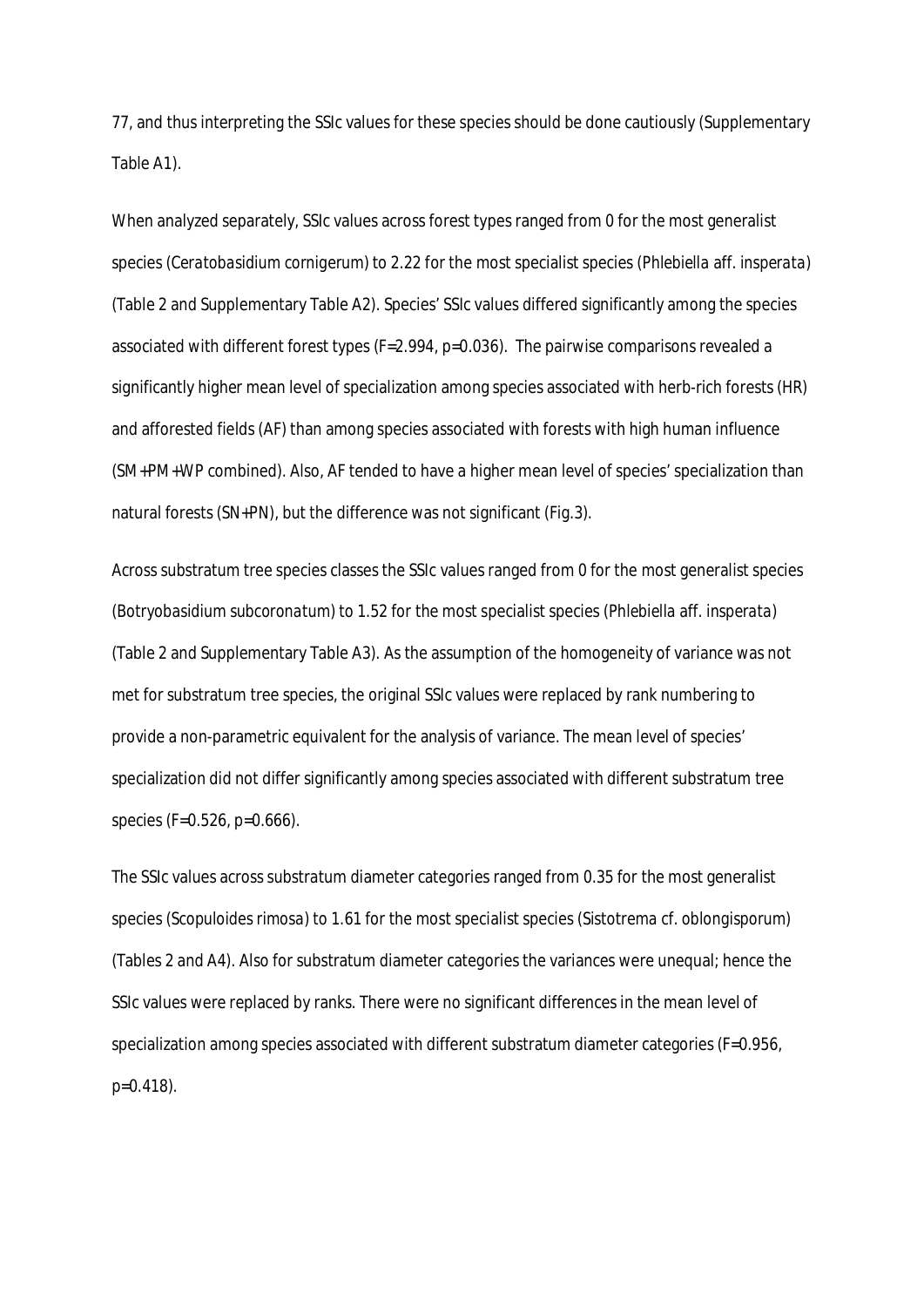77, and thus interpreting the SSIc values for these species should be done cautiously (Supplementary Table A1).

When analyzed separately, SSIc values across forest types ranged from 0 for the most generalist species (*Ceratobasidium cornigerum*) to 2.22 for the most specialist species (*Phlebiella* aff*. insperata*) (Table 2 and Supplementary Table A2). Species' SSIc values differed significantly among the species associated with different forest types (F=2.994, p=0.036). The pairwise comparisons revealed a significantly higher mean level of specialization among species associated with herb-rich forests (HR) and afforested fields (AF) than among species associated with forests with high human influence (SM+PM+WP combined). Also, AF tended to have a higher mean level of species' specialization than natural forests (SN+PN), but the difference was not significant (Fig.3).

Across substratum tree species classes the SSIc values ranged from 0 for the most generalist species (*Botryobasidium subcoronatum*) to 1.52 for the most specialist species (*Phlebiella* aff*. insperata*) (Table 2 and Supplementary Table A3). As the assumption of the homogeneity of variance was not met for substratum tree species, the original SSIc values were replaced by rank numbering to provide a non-parametric equivalent for the analysis of variance. The mean level of species' specialization did not differ significantly among species associated with different substratum tree species (F=0.526, p=0.666).

The SSIc values across substratum diameter categories ranged from 0.35 for the most generalist species (*Scopuloides rimosa*) to 1.61 for the most specialist species (*Sistotrema cf. oblongisporum*) (Tables 2 and A4). Also for substratum diameter categories the variances were unequal; hence the SSIc values were replaced by ranks. There were no significant differences in the mean level of specialization among species associated with different substratum diameter categories (F=0.956, p=0.418).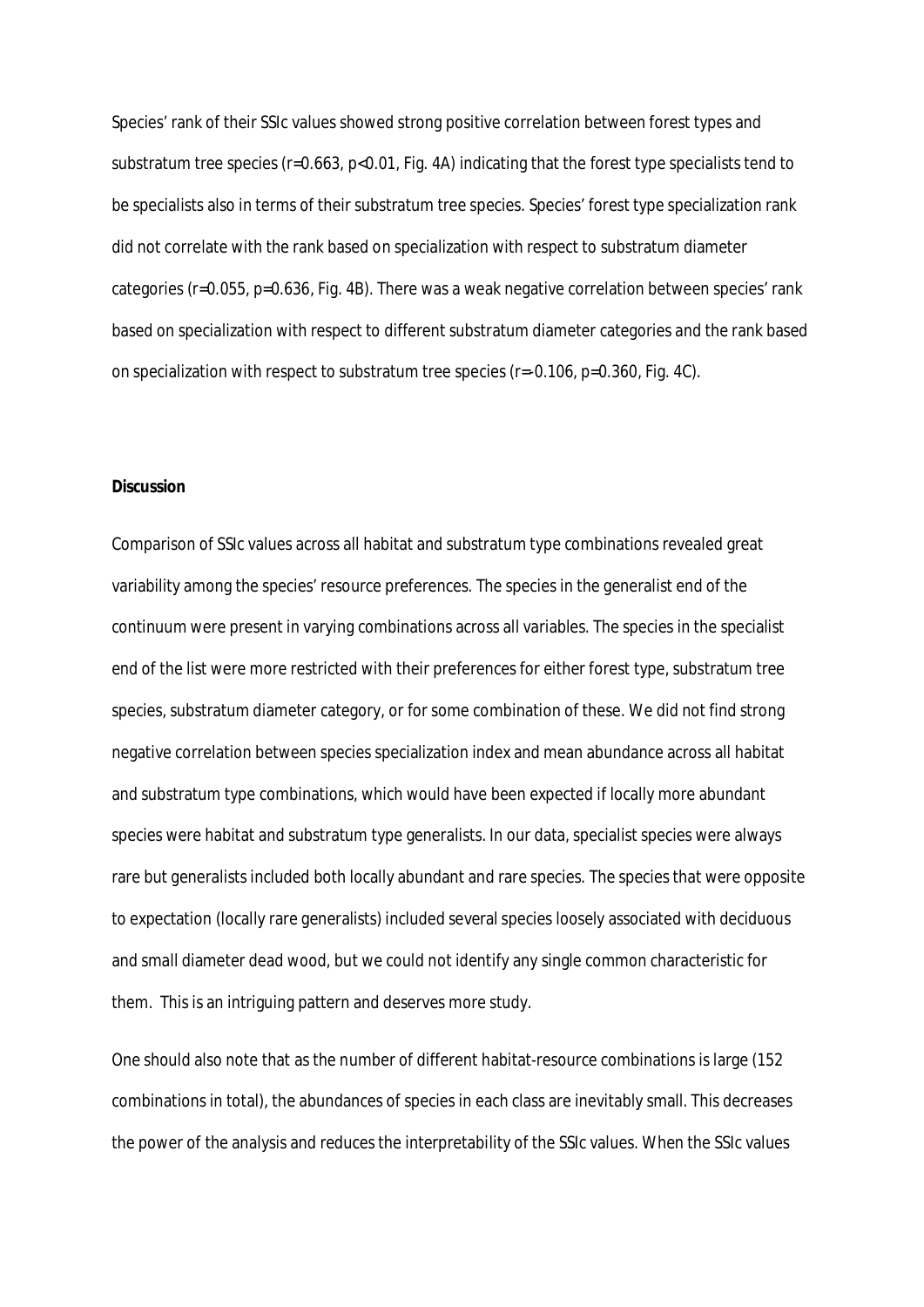Species' rank of their SSIc values showed strong positive correlation between forest types and substratum tree species (r=0.663, p<0.01, Fig. 4A) indicating that the forest type specialists tend to be specialists also in terms of their substratum tree species. Species' forest type specialization rank did not correlate with the rank based on specialization with respect to substratum diameter categories (r=0.055, p=0.636, Fig. 4B). There was a weak negative correlation between species' rank based on specialization with respect to different substratum diameter categories and the rank based on specialization with respect to substratum tree species (r=-0.106, p=0.360, Fig. 4C).

#### **Discussion**

Comparison of SSIc values across all habitat and substratum type combinations revealed great variability among the species' resource preferences. The species in the generalist end of the continuum were present in varying combinations across all variables. The species in the specialist end of the list were more restricted with their preferences for either forest type, substratum tree species, substratum diameter category, or for some combination of these. We did not find strong negative correlation between species specialization index and mean abundance across all habitat and substratum type combinations, which would have been expected if locally more abundant species were habitat and substratum type generalists. In our data, specialist species were always rare but generalists included both locally abundant and rare species. The species that were opposite to expectation (locally rare generalists) included several species loosely associated with deciduous and small diameter dead wood, but we could not identify any single common characteristic for them. This is an intriguing pattern and deserves more study.

One should also note that as the number of different habitat-resource combinations is large (152 combinations in total), the abundances of species in each class are inevitably small. This decreases the power of the analysis and reduces the interpretability of the SSIc values. When the SSIc values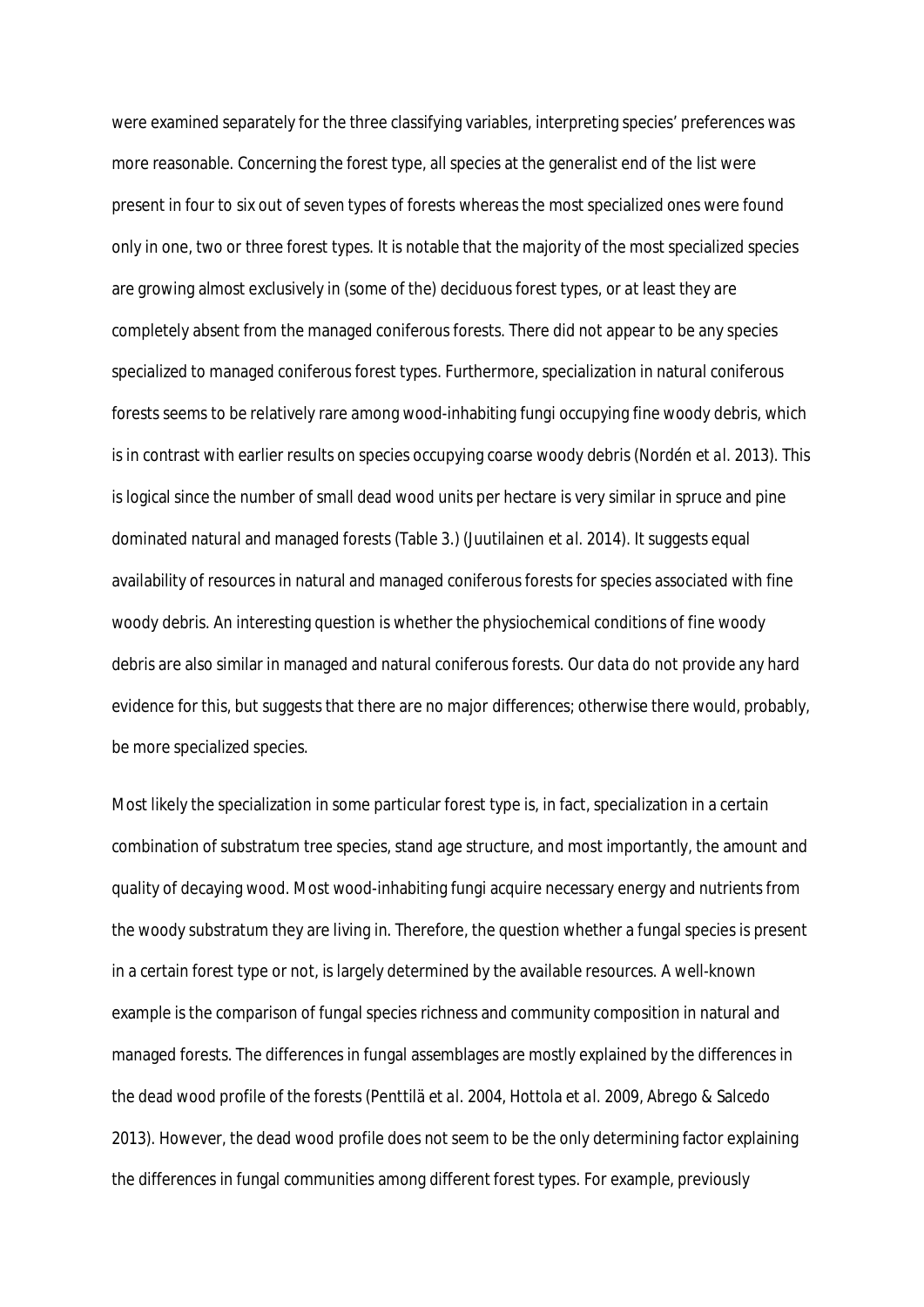were examined separately for the three classifying variables, interpreting species' preferences was more reasonable. Concerning the forest type, all species at the generalist end of the list were present in four to six out of seven types of forests whereas the most specialized ones were found only in one, two or three forest types. It is notable that the majority of the most specialized species are growing almost exclusively in (some of the) deciduous forest types, or at least they are completely absent from the managed coniferous forests. There did not appear to be any species specialized to managed coniferous forest types. Furthermore, specialization in natural coniferous forests seems to be relatively rare among wood-inhabiting fungi occupying fine woody debris, which is in contrast with earlier results on species occupying coarse woody debris (Nordén *et al.* 2013). This is logical since the number of small dead wood units per hectare is very similar in spruce and pine dominated natural and managed forests (Table 3.) (Juutilainen *et al.* 2014). It suggests equal availability of resources in natural and managed coniferous forests for species associated with fine woody debris. An interesting question is whether the physiochemical conditions of fine woody debris are also similar in managed and natural coniferous forests. Our data do not provide any hard evidence for this, but suggests that there are no major differences; otherwise there would, probably, be more specialized species.

Most likely the specialization in some particular forest type is, in fact, specialization in a certain combination of substratum tree species, stand age structure, and most importantly, the amount and quality of decaying wood. Most wood-inhabiting fungi acquire necessary energy and nutrients from the woody substratum they are living in. Therefore, the question whether a fungal species is present in a certain forest type or not, is largely determined by the available resources. A well-known example is the comparison of fungal species richness and community composition in natural and managed forests. The differences in fungal assemblages are mostly explained by the differences in the dead wood profile of the forests (Penttilä *et al.* 2004, Hottola *et al.* 2009, Abrego & Salcedo 2013). However, the dead wood profile does not seem to be the only determining factor explaining the differences in fungal communities among different forest types. For example, previously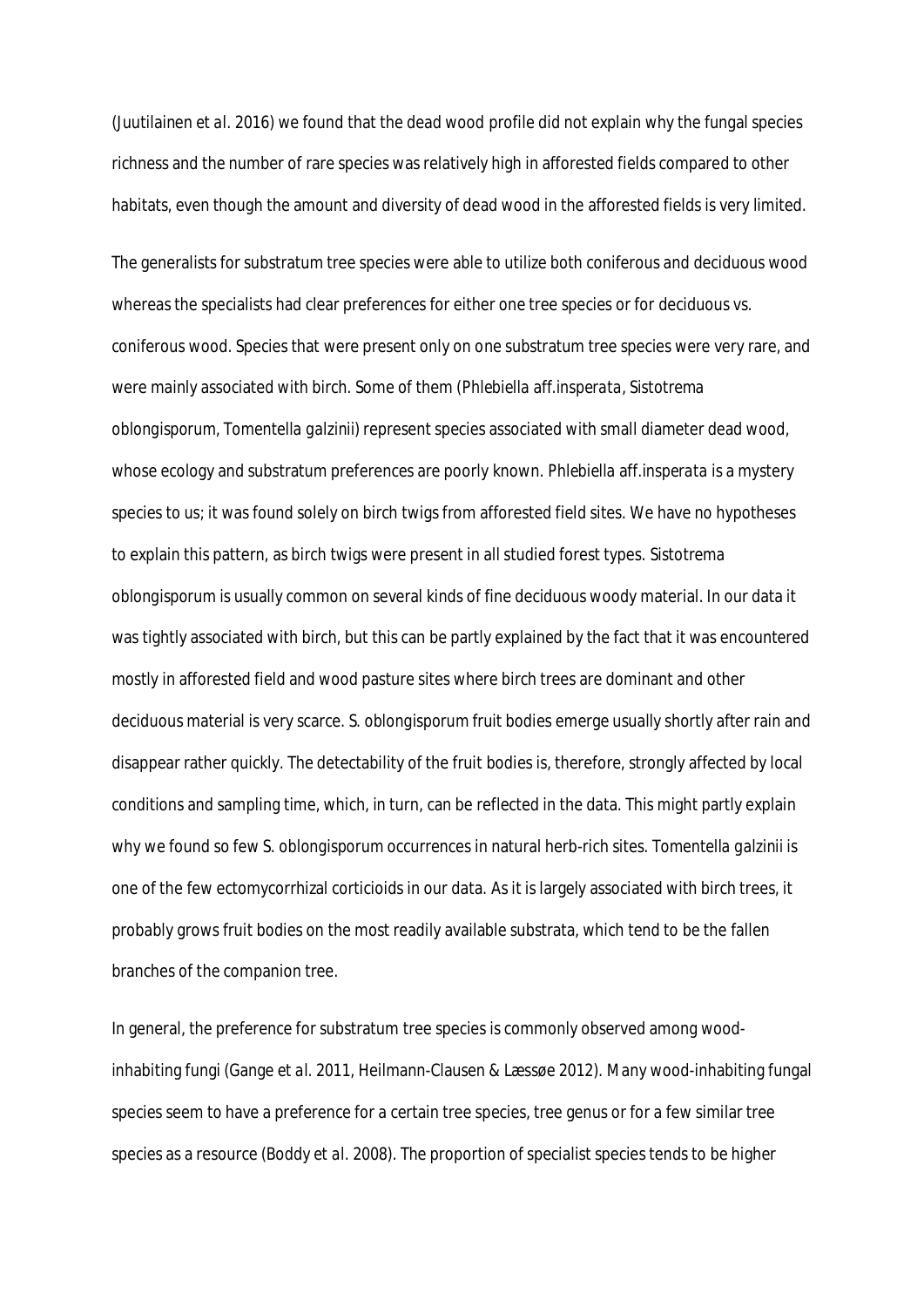(Juutilainen *et al.* 2016) we found that the dead wood profile did not explain why the fungal species richness and the number of rare species was relatively high in afforested fields compared to other habitats, even though the amount and diversity of dead wood in the afforested fields is very limited.

The generalists for substratum tree species were able to utilize both coniferous and deciduous wood whereas the specialists had clear preferences for either one tree species or for deciduous vs. coniferous wood. Species that were present only on one substratum tree species were very rare, and were mainly associated with birch. Some of them (*Phlebiella* aff*.insperata*, *Sistotrema oblongisporum*, *Tomentella galzinii*) represent species associated with small diameter dead wood, whose ecology and substratum preferences are poorly known. *Phlebiella* aff*.insperata* is a mystery species to us; it was found solely on birch twigs from afforested field sites. We have no hypotheses to explain this pattern, as birch twigs were present in all studied forest types. *Sistotrema oblongisporum* is usually common on several kinds of fine deciduous woody material. In our data it was tightly associated with birch, but this can be partly explained by the fact that it was encountered mostly in afforested field and wood pasture sites where birch trees are dominant and other deciduous material is very scarce. *S. oblongisporum* fruit bodies emerge usually shortly after rain and disappear rather quickly. The detectability of the fruit bodies is, therefore, strongly affected by local conditions and sampling time, which, in turn, can be reflected in the data. This might partly explain why we found so few *S. oblongisporum* occurrences in natural herb-rich sites. *Tomentella galzinii* is one of the few ectomycorrhizal corticioids in our data. As it is largely associated with birch trees, it probably grows fruit bodies on the most readily available substrata, which tend to be the fallen branches of the companion tree.

In general, the preference for substratum tree species is commonly observed among woodinhabiting fungi (Gange *et al.* 2011, Heilmann-Clausen & Læssøe 2012). Many wood-inhabiting fungal species seem to have a preference for a certain tree species, tree genus or for a few similar tree species as a resource (Boddy *et al.* 2008). The proportion of specialist species tends to be higher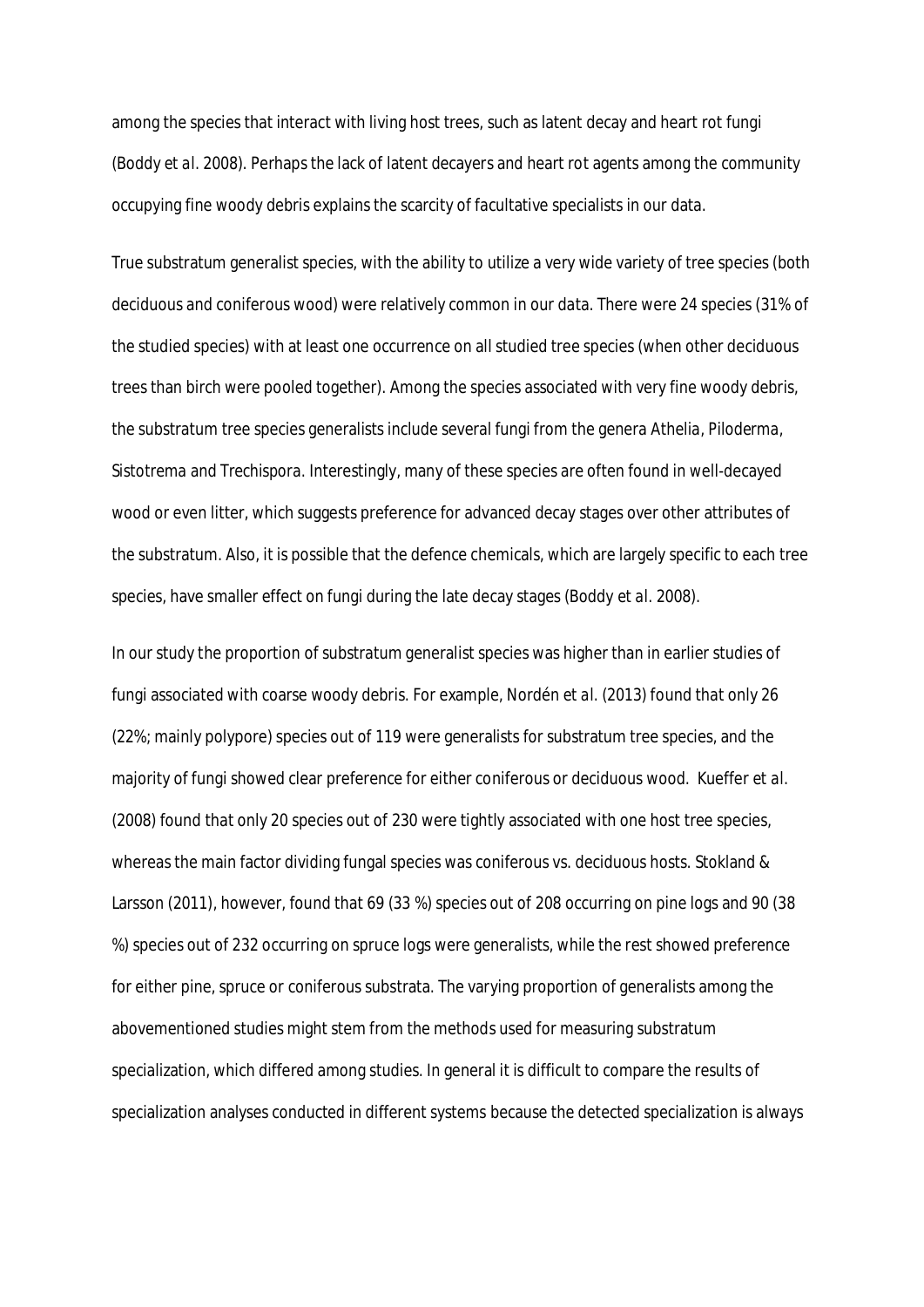among the species that interact with living host trees, such as latent decay and heart rot fungi (Boddy *et al.* 2008). Perhaps the lack of latent decayers and heart rot agents among the community occupying fine woody debris explains the scarcity of facultative specialists in our data.

True substratum generalist species, with the ability to utilize a very wide variety of tree species (both deciduous and coniferous wood) were relatively common in our data. There were 24 species (31% of the studied species) with at least one occurrence on all studied tree species (when other deciduous trees than birch were pooled together). Among the species associated with very fine woody debris, the substratum tree species generalists include several fungi from the genera *Athelia*, *Piloderma*, *Sistotrema* and *Trechispora*. Interestingly, many of these species are often found in well-decayed wood or even litter, which suggests preference for advanced decay stages over other attributes of the substratum. Also, it is possible that the defence chemicals, which are largely specific to each tree species, have smaller effect on fungi during the late decay stages (Boddy *et al.* 2008).

In our study the proportion of substratum generalist species was higher than in earlier studies of fungi associated with coarse woody debris. For example, Nordén *et al.* (2013) found that only 26 (22%; mainly polypore) species out of 119 were generalists for substratum tree species, and the majority of fungi showed clear preference for either coniferous or deciduous wood. Kueffer *et al.* (2008) found that only 20 species out of 230 were tightly associated with one host tree species, whereas the main factor dividing fungal species was coniferous vs. deciduous hosts. Stokland & Larsson (2011), however, found that 69 (33 %) species out of 208 occurring on pine logs and 90 (38 %) species out of 232 occurring on spruce logs were generalists, while the rest showed preference for either pine, spruce or coniferous substrata. The varying proportion of generalists among the abovementioned studies might stem from the methods used for measuring substratum specialization, which differed among studies. In general it is difficult to compare the results of specialization analyses conducted in different systems because the detected specialization is always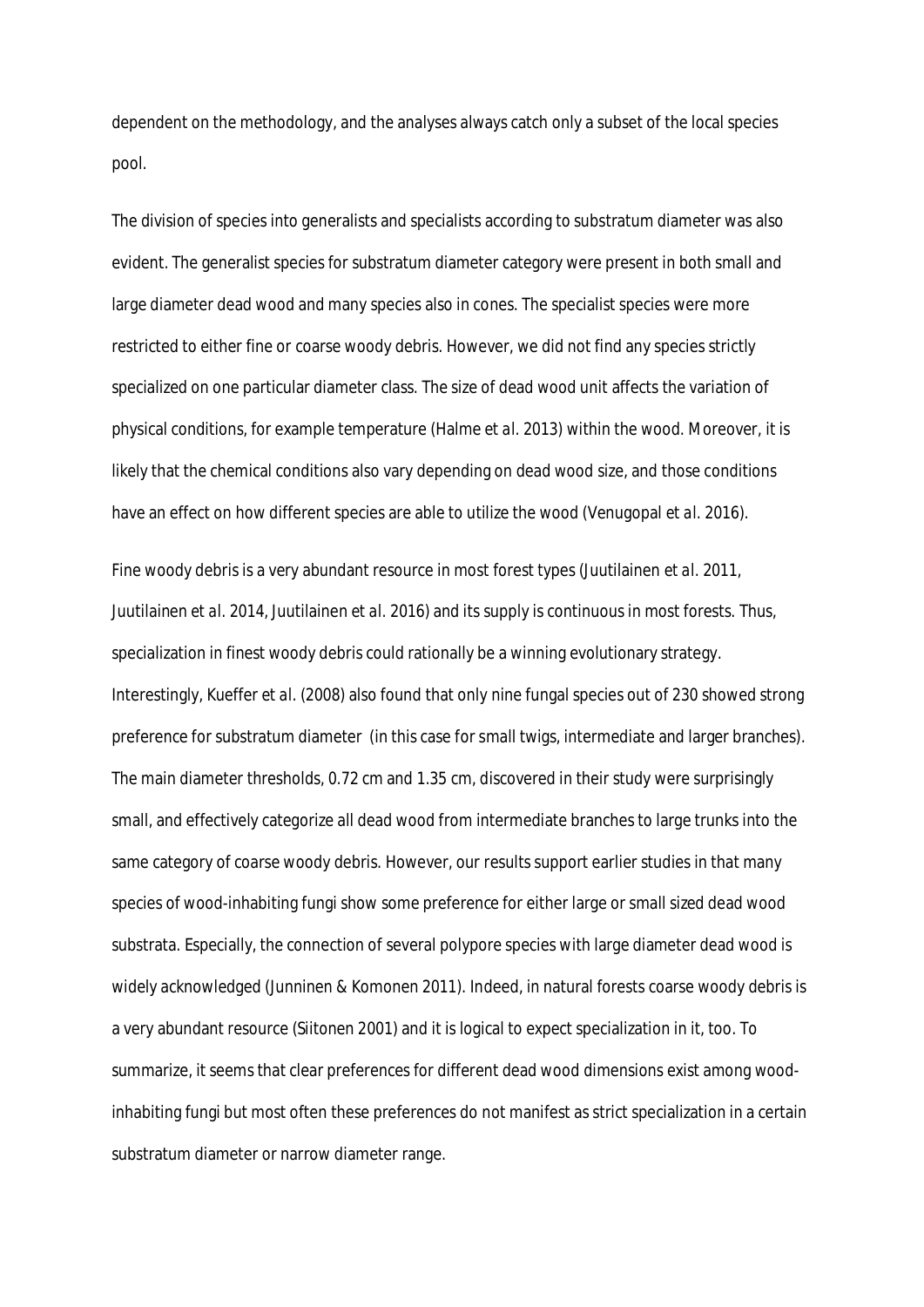dependent on the methodology, and the analyses always catch only a subset of the local species pool.

The division of species into generalists and specialists according to substratum diameter was also evident. The generalist species for substratum diameter category were present in both small and large diameter dead wood and many species also in cones. The specialist species were more restricted to either fine or coarse woody debris. However, we did not find any species strictly specialized on one particular diameter class. The size of dead wood unit affects the variation of physical conditions, for example temperature (Halme *et al.* 2013) within the wood. Moreover, it is likely that the chemical conditions also vary depending on dead wood size, and those conditions have an effect on how different species are able to utilize the wood (Venugopal *et al.* 2016).

Fine woody debris is a very abundant resource in most forest types (Juutilainen *et al.* 2011, Juutilainen *et al.* 2014, Juutilainen *et al.* 2016) and its supply is continuous in most forests. Thus, specialization in finest woody debris could rationally be a winning evolutionary strategy. Interestingly, Kueffer *et al.* (2008) also found that only nine fungal species out of 230 showed strong preference for substratum diameter (in this case for small twigs, intermediate and larger branches). The main diameter thresholds, 0.72 cm and 1.35 cm, discovered in their study were surprisingly small, and effectively categorize all dead wood from intermediate branches to large trunks into the same category of coarse woody debris. However, our results support earlier studies in that many species of wood-inhabiting fungi show some preference for either large or small sized dead wood substrata. Especially, the connection of several polypore species with large diameter dead wood is widely acknowledged (Junninen & Komonen 2011). Indeed, in natural forests coarse woody debris is a very abundant resource (Siitonen 2001) and it is logical to expect specialization in it, too. To summarize, it seems that clear preferences for different dead wood dimensions exist among woodinhabiting fungi but most often these preferences do not manifest as strict specialization in a certain substratum diameter or narrow diameter range.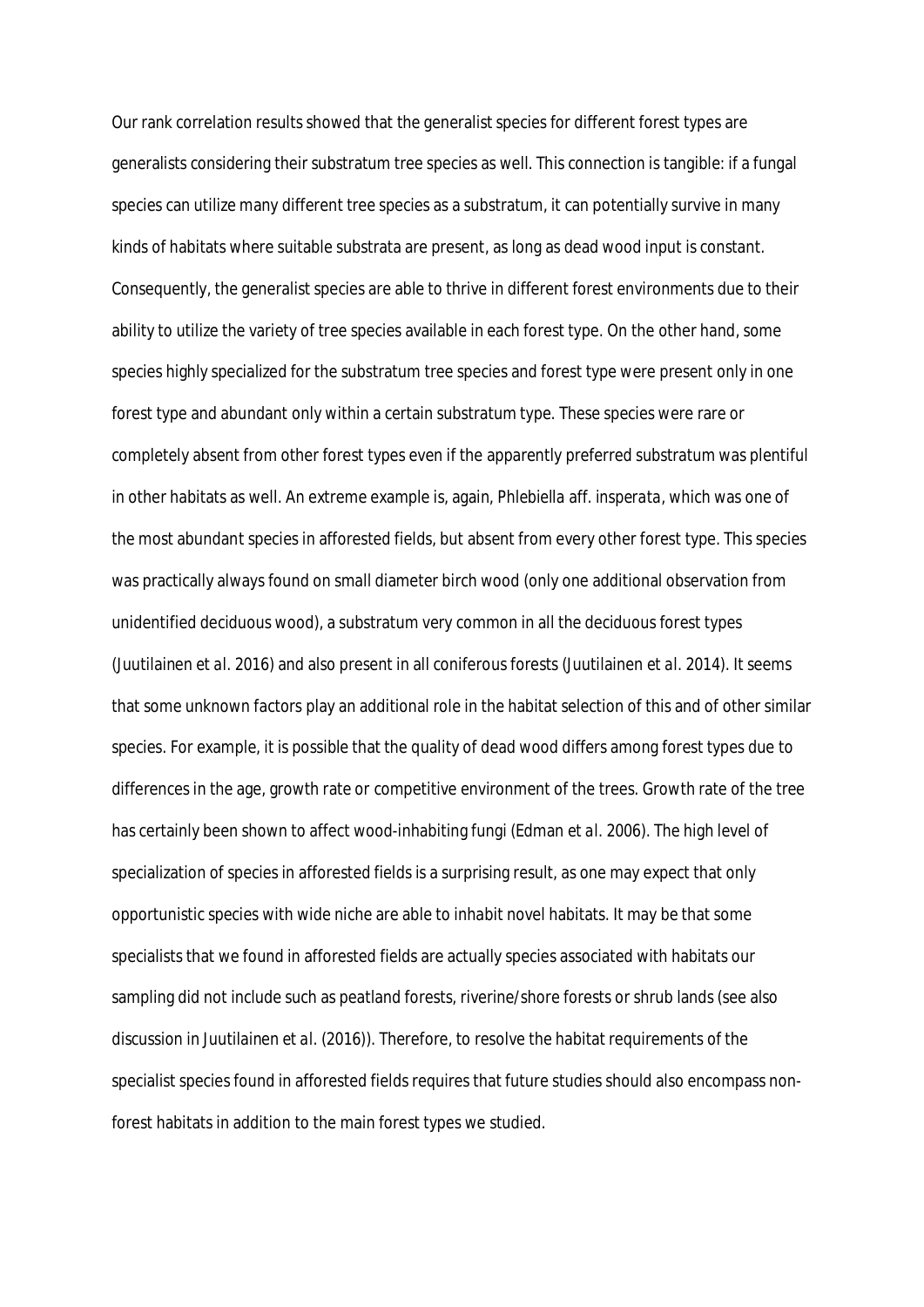Our rank correlation results showed that the generalist species for different forest types are generalists considering their substratum tree species as well. This connection is tangible: if a fungal species can utilize many different tree species as a substratum, it can potentially survive in many kinds of habitats where suitable substrata are present, as long as dead wood input is constant. Consequently, the generalist species are able to thrive in different forest environments due to their ability to utilize the variety of tree species available in each forest type. On the other hand, some species highly specialized for the substratum tree species and forest type were present only in one forest type and abundant only within a certain substratum type. These species were rare or completely absent from other forest types even if the apparently preferred substratum was plentiful in other habitats as well. An extreme example is, again, *Phlebiella* aff*. insperata*, which was one of the most abundant species in afforested fields, but absent from every other forest type. This species was practically always found on small diameter birch wood (only one additional observation from unidentified deciduous wood), a substratum very common in all the deciduous forest types (Juutilainen *et al.* 2016) and also present in all coniferous forests (Juutilainen *et al.* 2014). It seems that some unknown factors play an additional role in the habitat selection of this and of other similar species. For example, it is possible that the quality of dead wood differs among forest types due to differences in the age, growth rate or competitive environment of the trees. Growth rate of the tree has certainly been shown to affect wood-inhabiting fungi (Edman *et al.* 2006). The high level of specialization of species in afforested fields is a surprising result, as one may expect that only opportunistic species with wide niche are able to inhabit novel habitats. It may be that some specialists that we found in afforested fields are actually species associated with habitats our sampling did not include such as peatland forests, riverine/shore forests or shrub lands (see also discussion in Juutilainen *et al.* (2016)). Therefore, to resolve the habitat requirements of the specialist species found in afforested fields requires that future studies should also encompass nonforest habitats in addition to the main forest types we studied.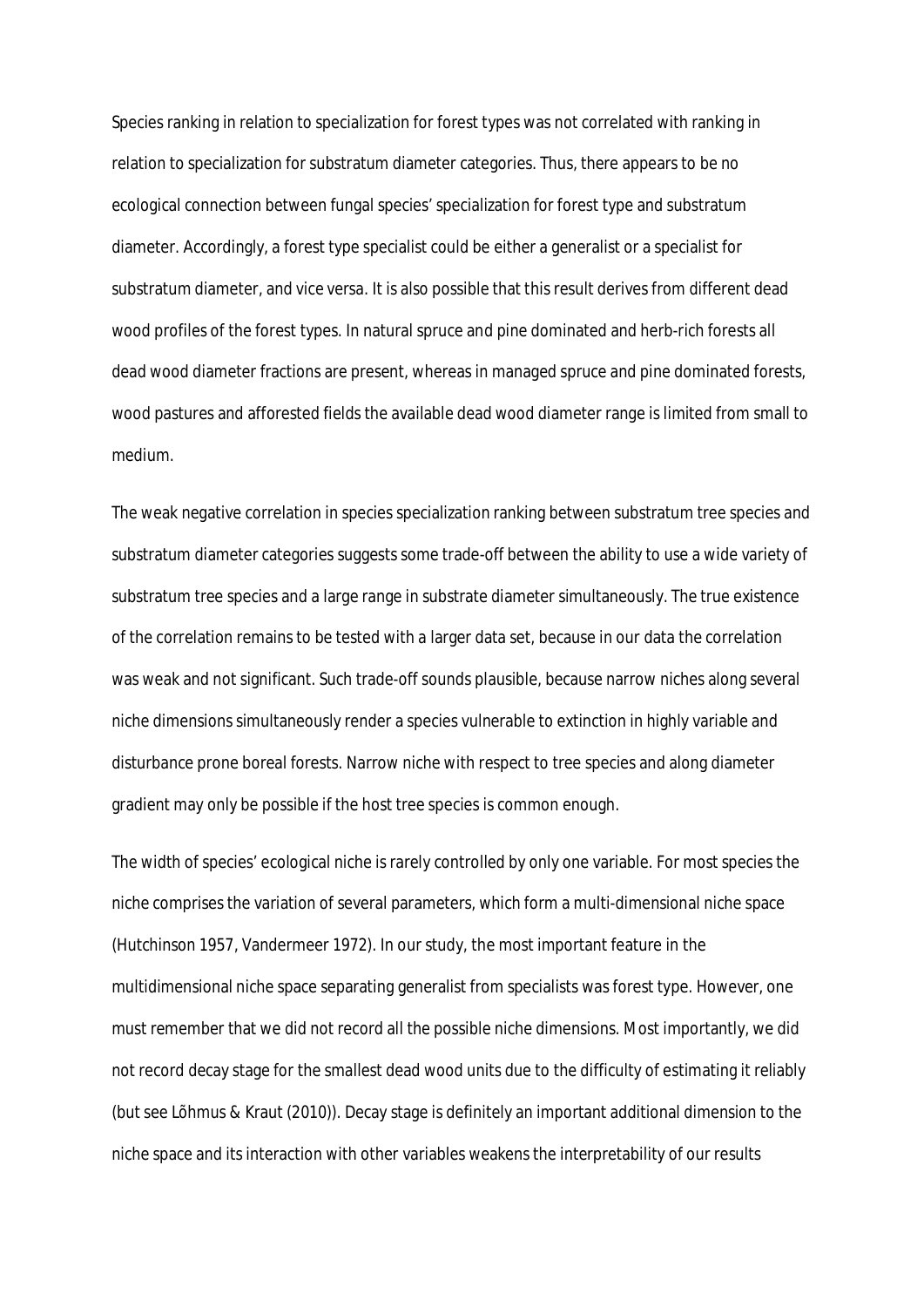Species ranking in relation to specialization for forest types was not correlated with ranking in relation to specialization for substratum diameter categories. Thus, there appears to be no ecological connection between fungal species' specialization for forest type and substratum diameter. Accordingly, a forest type specialist could be either a generalist or a specialist for substratum diameter, and *vice versa*. It is also possible that this result derives from different dead wood profiles of the forest types. In natural spruce and pine dominated and herb-rich forests all dead wood diameter fractions are present, whereas in managed spruce and pine dominated forests, wood pastures and afforested fields the available dead wood diameter range is limited from small to medium.

The weak negative correlation in species specialization ranking between substratum tree species and substratum diameter categories suggests some trade-off between the ability to use a wide variety of substratum tree species and a large range in substrate diameter simultaneously. The true existence of the correlation remains to be tested with a larger data set, because in our data the correlation was weak and not significant. Such trade-off sounds plausible, because narrow niches along several niche dimensions simultaneously render a species vulnerable to extinction in highly variable and disturbance prone boreal forests. Narrow niche with respect to tree species and along diameter gradient may only be possible if the host tree species is common enough.

The width of species' ecological niche is rarely controlled by only one variable. For most species the niche comprises the variation of several parameters, which form a multi-dimensional niche space (Hutchinson 1957, Vandermeer 1972). In our study, the most important feature in the multidimensional niche space separating generalist from specialists was forest type. However, one must remember that we did not record all the possible niche dimensions. Most importantly, we did not record decay stage for the smallest dead wood units due to the difficulty of estimating it reliably (but see Lõhmus & Kraut (2010)). Decay stage is definitely an important additional dimension to the niche space and its interaction with other variables weakens the interpretability of our results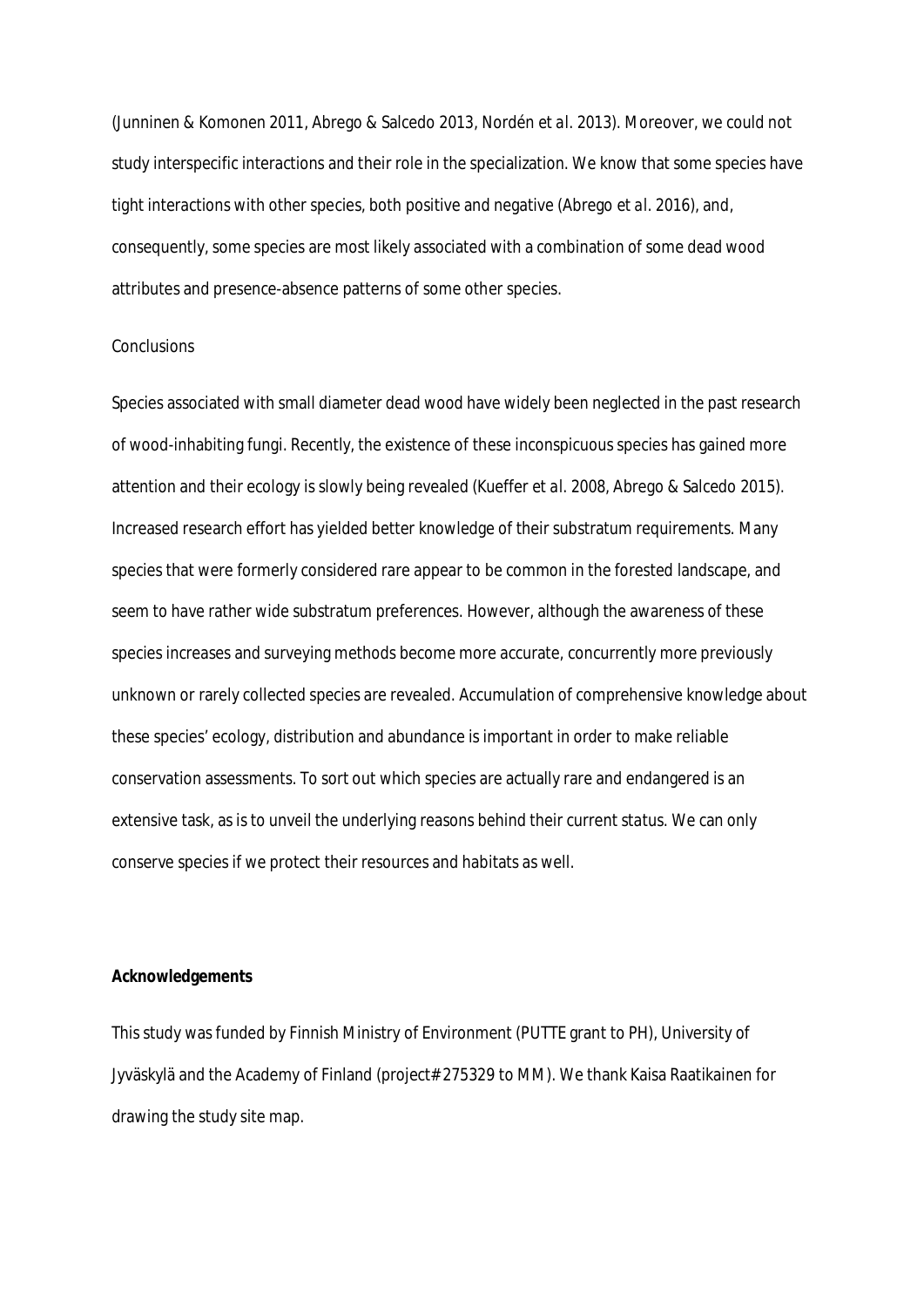(Junninen & Komonen 2011, Abrego & Salcedo 2013, Nordén *et al.* 2013). Moreover, we could not study interspecific interactions and their role in the specialization. We know that some species have tight interactions with other species, both positive and negative (Abrego *et al.* 2016), and, consequently, some species are most likely associated with a combination of some dead wood attributes and presence-absence patterns of some other species.

#### **Conclusions**

Species associated with small diameter dead wood have widely been neglected in the past research of wood-inhabiting fungi. Recently, the existence of these inconspicuous species has gained more attention and their ecology is slowly being revealed (Kueffer *et al.* 2008, Abrego & Salcedo 2015). Increased research effort has yielded better knowledge of their substratum requirements. Many species that were formerly considered rare appear to be common in the forested landscape, and seem to have rather wide substratum preferences. However, although the awareness of these species increases and surveying methods become more accurate, concurrently more previously unknown or rarely collected species are revealed. Accumulation of comprehensive knowledge about these species' ecology, distribution and abundance is important in order to make reliable conservation assessments. To sort out which species are actually rare and endangered is an extensive task, as is to unveil the underlying reasons behind their current status. We can only conserve species if we protect their resources and habitats as well.

#### **Acknowledgements**

This study was funded by Finnish Ministry of Environment (PUTTE grant to PH), University of Jyväskylä and the Academy of Finland (project# 275329 to MM). We thank Kaisa Raatikainen for drawing the study site map.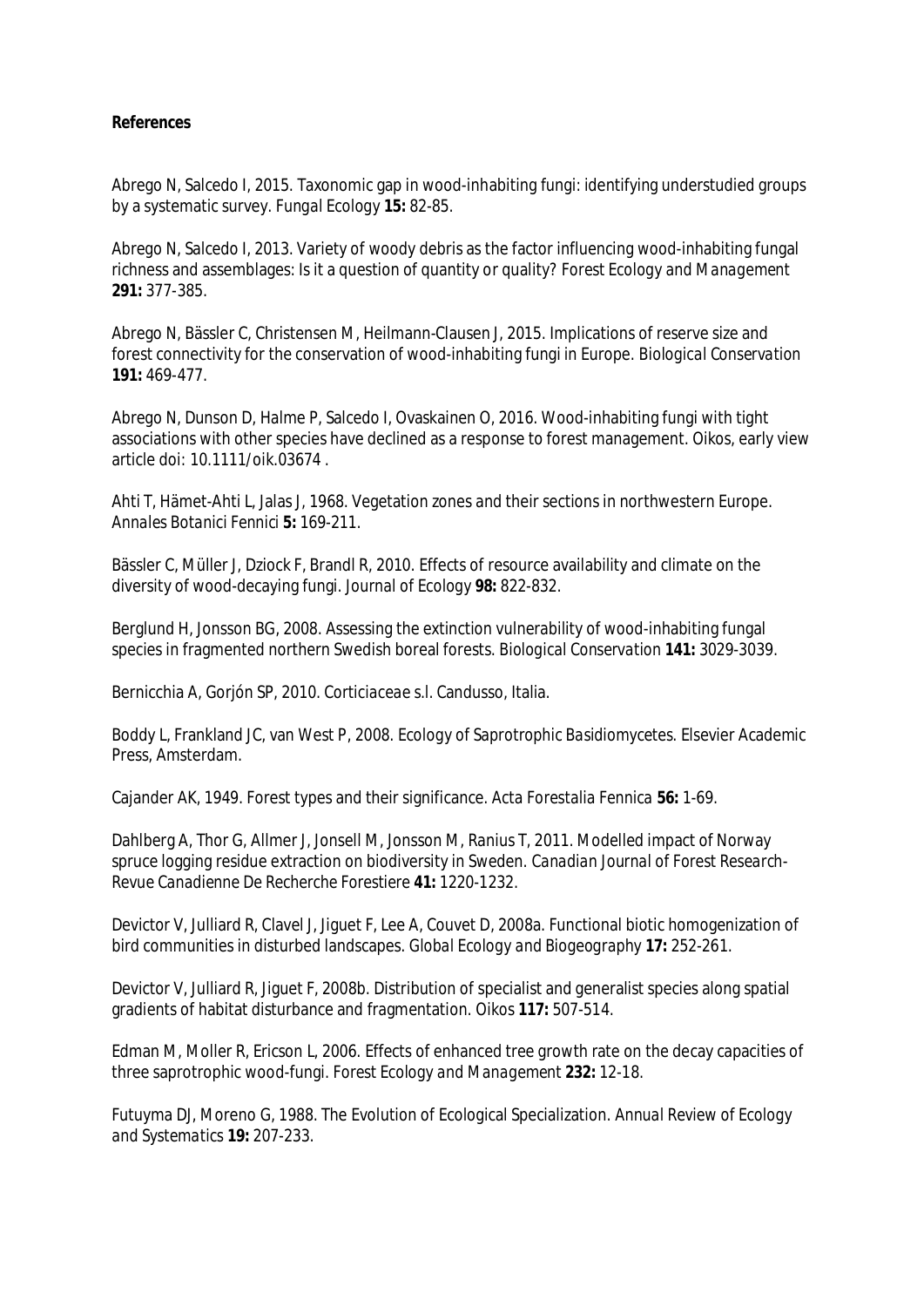## **References**

Abrego N, Salcedo I, 2015. Taxonomic gap in wood-inhabiting fungi: identifying understudied groups by a systematic survey. *Fungal Ecology* **15:** 82-85.

Abrego N, Salcedo I, 2013. Variety of woody debris as the factor influencing wood-inhabiting fungal richness and assemblages: Is it a question of quantity or quality? *Forest Ecology and Management* **291:** 377-385.

Abrego N, Bässler C, Christensen M, Heilmann-Clausen J, 2015. Implications of reserve size and forest connectivity for the conservation of wood-inhabiting fungi in Europe. *Biological Conservation* **191:** 469-477.

Abrego N, Dunson D, Halme P, Salcedo I, Ovaskainen O, 2016. Wood-inhabiting fungi with tight associations with other species have declined as a response to forest management. *Oikos,* early view article doi: 10.1111/oik.03674 .

Ahti T, Hämet-Ahti L, Jalas J, 1968. Vegetation zones and their sections in northwestern Europe. *Annales Botanici Fennici* **5:** 169-211.

Bässler C, Müller J, Dziock F, Brandl R, 2010. Effects of resource availability and climate on the diversity of wood-decaying fungi. *Journal of Ecology* **98:** 822-832.

Berglund H, Jonsson BG, 2008. Assessing the extinction vulnerability of wood-inhabiting fungal species in fragmented northern Swedish boreal forests. *Biological Conservation* **141:** 3029-3039.

Bernicchia A, Gorjón SP, 2010. *Corticiaceae s.l.* Candusso, Italia.

Boddy L, Frankland JC, van West P, 2008. *Ecology of Saprotrophic Basidiomycetes.* Elsevier Academic Press, Amsterdam.

Cajander AK, 1949. Forest types and their significance. *Acta Forestalia Fennica* **56:** 1-69.

Dahlberg A, Thor G, Allmer J, Jonsell M, Jonsson M, Ranius T, 2011. Modelled impact of Norway spruce logging residue extraction on biodiversity in Sweden. *Canadian Journal of Forest Research-Revue Canadienne De Recherche Forestiere* **41:** 1220-1232.

Devictor V, Julliard R, Clavel J, Jiguet F, Lee A, Couvet D, 2008a. Functional biotic homogenization of bird communities in disturbed landscapes. *Global Ecology and Biogeography* **17:** 252-261.

Devictor V, Julliard R, Jiguet F, 2008b. Distribution of specialist and generalist species along spatial gradients of habitat disturbance and fragmentation. *Oikos* **117:** 507-514.

Edman M, Moller R, Ericson L, 2006. Effects of enhanced tree growth rate on the decay capacities of three saprotrophic wood-fungi. *Forest Ecology and Management* **232:** 12-18.

Futuyma DJ, Moreno G, 1988. The Evolution of Ecological Specialization. *Annual Review of Ecology and Systematics* **19:** 207-233.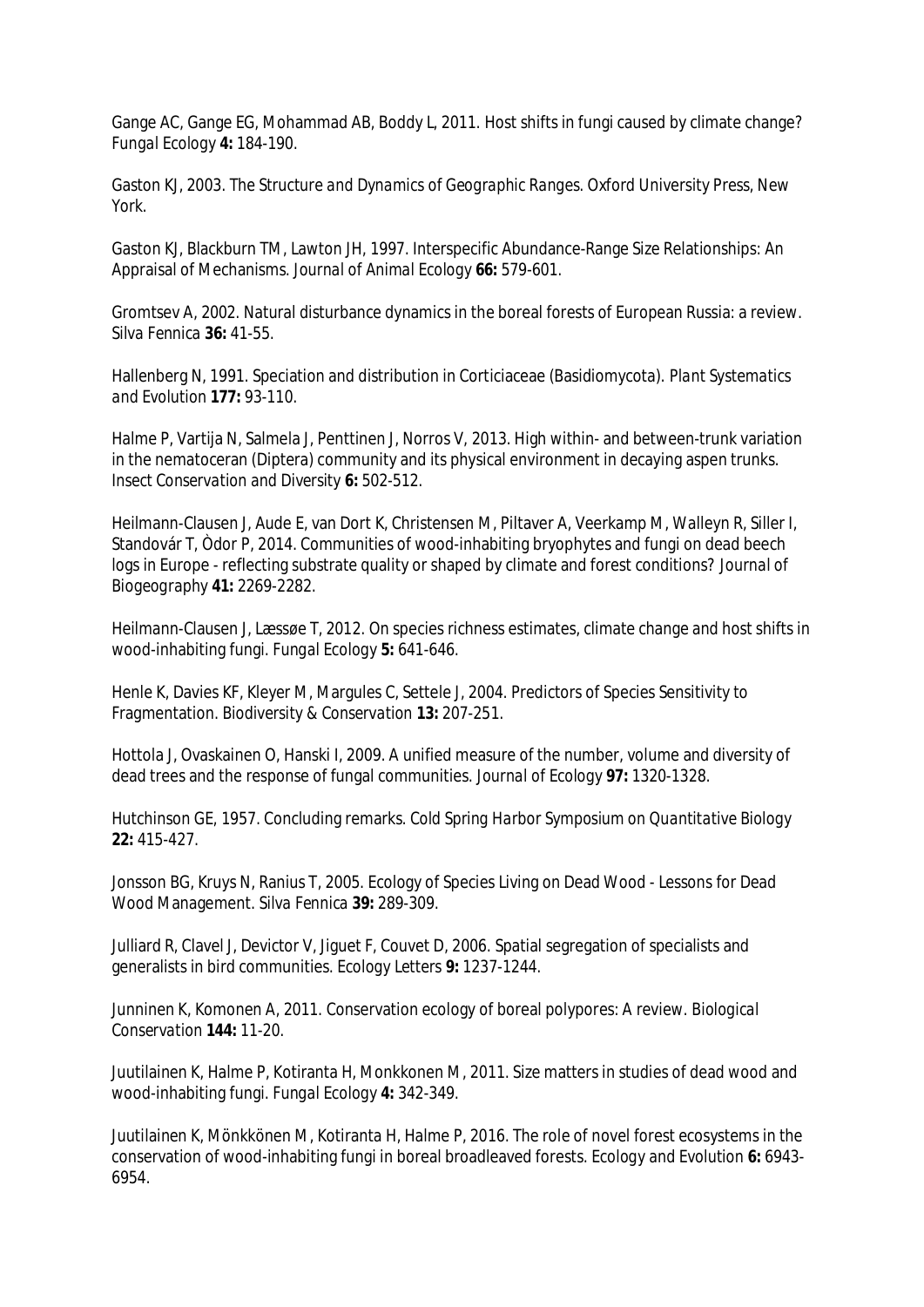Gange AC, Gange EG, Mohammad AB, Boddy L, 2011. Host shifts in fungi caused by climate change? *Fungal Ecology* **4:** 184-190.

Gaston KJ, 2003. *The Structure and Dynamics of Geographic Ranges.* Oxford University Press, New York.

Gaston KJ, Blackburn TM, Lawton JH, 1997. Interspecific Abundance-Range Size Relationships: An Appraisal of Mechanisms. *Journal of Animal Ecology* **66:** 579-601.

Gromtsev A, 2002. Natural disturbance dynamics in the boreal forests of European Russia: a review. *Silva Fennica* **36:** 41-55.

Hallenberg N, 1991. Speciation and distribution in Corticiaceae (Basidiomycota). *Plant Systematics and Evolution* **177:** 93-110.

Halme P, Vartija N, Salmela J, Penttinen J, Norros V, 2013. High within- and between-trunk variation in the nematoceran (Diptera) community and its physical environment in decaying aspen trunks. *Insect Conservation and Diversity* **6:** 502-512.

Heilmann-Clausen J, Aude E, van Dort K, Christensen M, Piltaver A, Veerkamp M, Walleyn R, Siller I, Standovár T, Òdor P, 2014. Communities of wood-inhabiting bryophytes and fungi on dead beech logs in Europe - reflecting substrate quality or shaped by climate and forest conditions? *Journal of Biogeography* **41:** 2269-2282.

Heilmann-Clausen J, Læssøe T, 2012. On species richness estimates, climate change and host shifts in wood-inhabiting fungi. *Fungal Ecology* **5:** 641-646.

Henle K, Davies KF, Kleyer M, Margules C, Settele J, 2004. Predictors of Species Sensitivity to Fragmentation. *Biodiversity & Conservation* **13:** 207-251.

Hottola J, Ovaskainen O, Hanski I, 2009. A unified measure of the number, volume and diversity of dead trees and the response of fungal communities. *Journal of Ecology* **97:** 1320-1328.

Hutchinson GE, 1957. Concluding remarks. *Cold Spring Harbor Symposium on Quantitative Biology* **22:** 415-427.

Jonsson BG, Kruys N, Ranius T, 2005. Ecology of Species Living on Dead Wood - Lessons for Dead Wood Management. *Silva Fennica* **39:** 289-309.

Julliard R, Clavel J, Devictor V, Jiguet F, Couvet D, 2006. Spatial segregation of specialists and generalists in bird communities. *Ecology Letters* **9:** 1237-1244.

Junninen K, Komonen A, 2011. Conservation ecology of boreal polypores: A review. *Biological Conservation* **144:** 11-20.

Juutilainen K, Halme P, Kotiranta H, Monkkonen M, 2011. Size matters in studies of dead wood and wood-inhabiting fungi. *Fungal Ecology* **4:** 342-349.

Juutilainen K, Mönkkönen M, Kotiranta H, Halme P, 2016. The role of novel forest ecosystems in the conservation of wood-inhabiting fungi in boreal broadleaved forests. *Ecology and Evolution* **6:** 6943- 6954.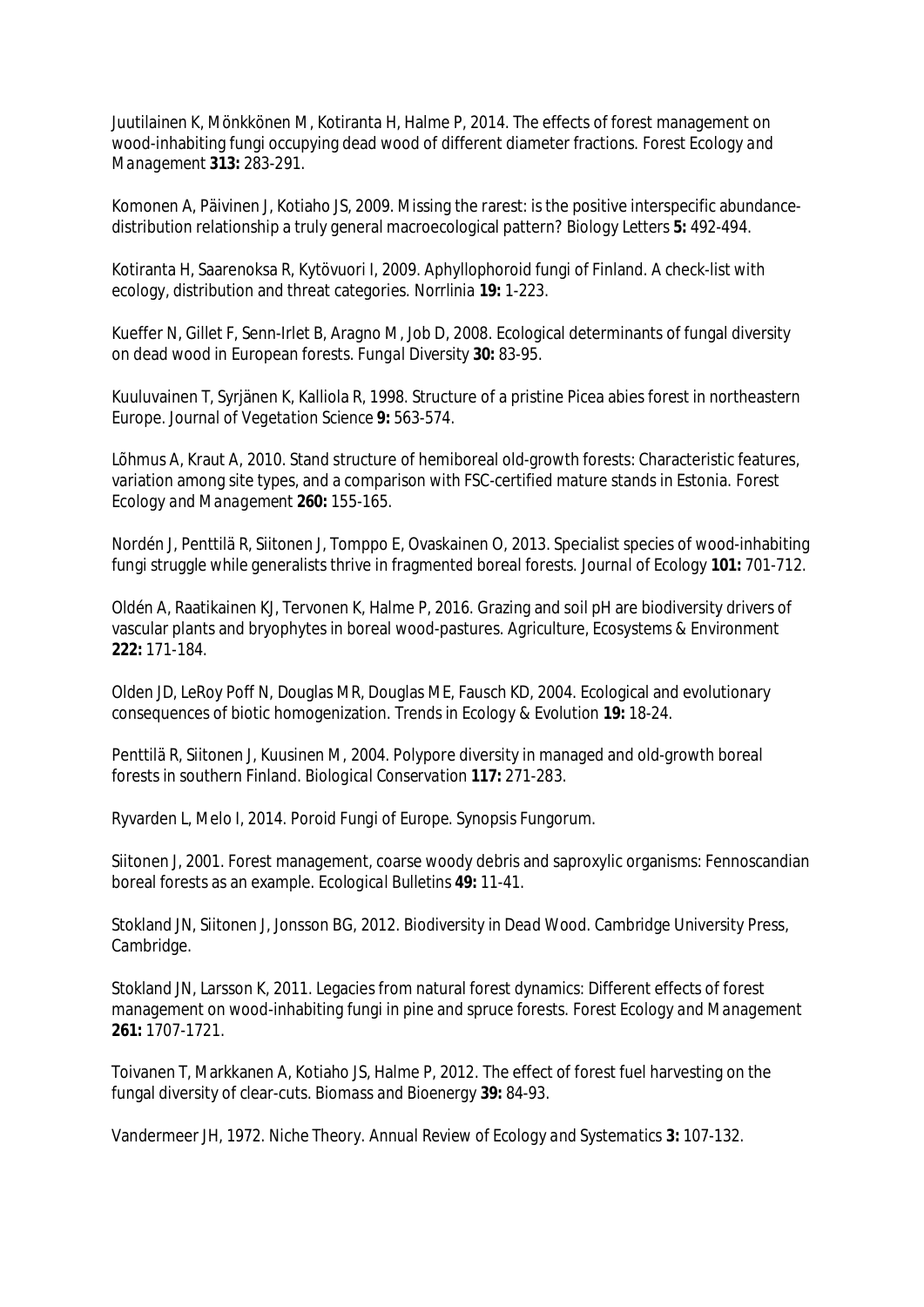Juutilainen K, Mönkkönen M, Kotiranta H, Halme P, 2014. The effects of forest management on wood-inhabiting fungi occupying dead wood of different diameter fractions. *Forest Ecology and Management* **313:** 283-291.

Komonen A, Päivinen J, Kotiaho JS, 2009. Missing the rarest: is the positive interspecific abundancedistribution relationship a truly general macroecological pattern? *Biology Letters* **5:** 492-494.

Kotiranta H, Saarenoksa R, Kytövuori I, 2009. Aphyllophoroid fungi of Finland. A check-list with ecology, distribution and threat categories. *Norrlinia* **19:** 1-223.

Kueffer N, Gillet F, Senn-Irlet B, Aragno M, Job D, 2008. Ecological determinants of fungal diversity on dead wood in European forests. *Fungal Diversity* **30:** 83-95.

Kuuluvainen T, Syrjänen K, Kalliola R, 1998. Structure of a pristine Picea abies forest in northeastern Europe. *Journal of Vegetation Science* **9:** 563-574.

Lõhmus A, Kraut A, 2010. Stand structure of hemiboreal old-growth forests: Characteristic features, variation among site types, and a comparison with FSC-certified mature stands in Estonia. *Forest Ecology and Management* **260:** 155-165.

Nordén J, Penttilä R, Siitonen J, Tomppo E, Ovaskainen O, 2013. Specialist species of wood-inhabiting fungi struggle while generalists thrive in fragmented boreal forests. *Journal of Ecology* **101:** 701-712.

Oldén A, Raatikainen KJ, Tervonen K, Halme P, 2016. Grazing and soil pH are biodiversity drivers of vascular plants and bryophytes in boreal wood-pastures. *Agriculture, Ecosystems & Environment* **222:** 171-184.

Olden JD, LeRoy Poff N, Douglas MR, Douglas ME, Fausch KD, 2004. Ecological and evolutionary consequences of biotic homogenization. *Trends in Ecology & Evolution* **19:** 18-24.

Penttilä R, Siitonen J, Kuusinen M, 2004. Polypore diversity in managed and old-growth boreal forests in southern Finland. *Biological Conservation* **117:** 271-283.

Ryvarden L, Melo I, 2014. *Poroid Fungi of Europe.* Synopsis Fungorum.

Siitonen J, 2001. Forest management, coarse woody debris and saproxylic organisms: Fennoscandian boreal forests as an example. *Ecological Bulletins* **49:** 11-41.

Stokland JN, Siitonen J, Jonsson BG, 2012. *Biodiversity in Dead Wood*. Cambridge University Press, Cambridge.

Stokland JN, Larsson K, 2011. Legacies from natural forest dynamics: Different effects of forest management on wood-inhabiting fungi in pine and spruce forests. *Forest Ecology and Management* **261:** 1707-1721.

Toivanen T, Markkanen A, Kotiaho JS, Halme P, 2012. The effect of forest fuel harvesting on the fungal diversity of clear-cuts. *Biomass and Bioenergy* **39:** 84-93.

Vandermeer JH, 1972. Niche Theory. *Annual Review of Ecology and Systematics* **3:** 107-132.